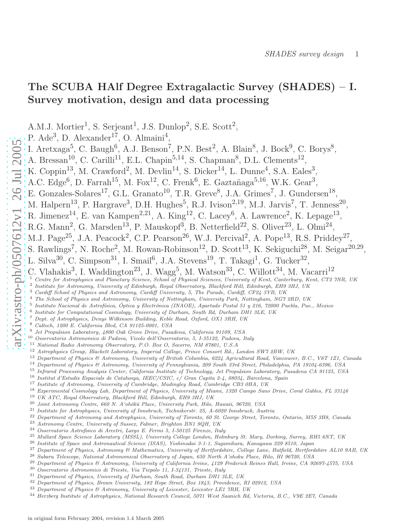,

# The SCUBA HAlf Degree Extragalactic Survey (SHADES) – I. Survey motivation, design and data processing

A.M.J. Mortier<sup>1</sup>, S. Serjeant<sup>1</sup>, J.S. Dunlop<sup>2</sup>, S.E. Scott<sup>2</sup>,

P.  $Ade<sup>3</sup>$ , D.  $Alexander<sup>17</sup>$ , O.  $Almain<sup>4</sup>$ ,

I. Aretxaga<sup>5</sup>, C. Baugh<sup>6</sup>, A.J. Benson<sup>7</sup>, P.N. Best<sup>2</sup>, A. Blain<sup>8</sup>, J. Bock<sup>9</sup>, C. Borys<sup>8</sup>,

A. Bressan<sup>10</sup>, C. Carilli<sup>11</sup>, E.L. Chapin<sup>5,14</sup>, S. Chapman<sup>8</sup>, D.L. Clements<sup>12</sup>,

K. Coppin<sup>13</sup>, M. Crawford<sup>2</sup>, M. Devlin<sup>14</sup>, S. Dicker<sup>14</sup>, L. Dunne<sup>4</sup>, S.A. Eales<sup>3</sup>,

A.C. Edge<sup>6</sup>, D. Farrah<sup>15</sup>, M. Fox<sup>12</sup>, C. Frenk<sup>6</sup>, E. Gaztañaga<sup>5,16</sup>, W.K. Gear<sup>3</sup>,

E. Gonzales-Solares<sup>17</sup>, G.L. Granato<sup>10</sup>, T.R. Greve<sup>8</sup>, J.A. Grimes<sup>7</sup>, J. Gundersen<sup>18</sup>,

M. Halpern<sup>13</sup>, P. Hargrave<sup>3</sup>, D.H. Hughes<sup>5</sup>, R.J. Ivison<sup>2,19</sup>, M.J. Jarvis<sup>7</sup>, T. Jenness<sup>20</sup>

R. Jimenez<sup>14</sup>, E. van Kampen<sup>2,21</sup>, A. King<sup>12</sup>, C. Lacey<sup>6</sup>, A. Lawrence<sup>2</sup>, K. Lepage<sup>13</sup>,

R.G. Mann<sup>2</sup>, G. Marsden<sup>13</sup>, P. Mauskopf<sup>3</sup>, B. Netterfield<sup>22</sup>, S. Oliver<sup>23</sup>, L. Olmi<sup>24</sup>,

M.J. Page<sup>25</sup>, J.A. Peacock<sup>2</sup>, C.P. Pearson<sup>26</sup>, W.J. Percival<sup>2</sup>, A. Pope<sup>13</sup>, R.S. Priddey<sup>27</sup>,

S. Rawlings<sup>7</sup>, N. Roche<sup>2</sup>, M. Rowan-Robinson<sup>12</sup>, D. Scott<sup>13</sup>, K. Sekiguchi<sup>28</sup>, M. Seigar<sup>20,29</sup>,

L. Silva<sup>30</sup>, C. Simpson<sup>31</sup>, I. Smail<sup>6</sup>, J.A. Stevens<sup>19</sup>, T. Takagi<sup>1</sup>, G. Tucker<sup>32</sup>,

C. Vlahakis<sup>3</sup>, I. Waddington<sup>23</sup>, J. Wagg<sup>5</sup>, M. Watson<sup>33</sup>, C. Willott<sup>34</sup>, M. Vacarri<sup>12</sup>

<sup>1</sup> Centre for Astrophysics and Planetary Science, School of Physical Sciences, University of Kent, Canterbury, Kent, CT2 7NR, UK

- <sup>2</sup> Institute for Astronomy, University of Edinburgh, Royal Observatory, Blackford Hill, Edinburgh, EH9 3HJ, UK
- <sup>3</sup> Cardiff School of Physics and Astronomy, Cardiff University, 5, The Parade, Cardiff, CF24 3YB, UK
- <sup>4</sup> The School of Physics and Astronomy, University of Nottingham, University Park, Nottingham, NG7 2RD, UK
- <sup>5</sup> Instituto Nacional de Astrofísica, Óptica y Electrónica (INAOE), Apartado Postal 51 y 216, 72000 Puebla, Pue., Mexico
- 6 Institute for Computational Cosmology, University of Durham, South Rd, Durham DH1 3LE, UK

<sup>7</sup> Dept. of Astrophysics, Denys Wilkinson Building, Keble Road, Oxford, OX1 3RH, UK

- <sup>8</sup> Caltech, 1200 E. California Blvd, CA 91125-0001, USA
- <sup>9</sup> Jet Propulsion Laboratory, 4800 Oak Grove Drive, Pasadena, California 91109, USA

<sup>10</sup> Osservatorio Astronomico di Padova, Vicolo dell'Osservatorio, 5, I-35122, Padova, Italy

- <sup>11</sup> National Radio Astronomy Observatory, P.O. Box O, Socorro, NM 87801, U.S.A
- <sup>12</sup> Astrophysics Group, Blackett Laboratory, Imperial College, Prince Consort Rd., London SW7 2BW, UK
- <sup>13</sup> Department of Physics & Astronomy, University of British Columbia, 6224 Agricultural Road, Vancouver, B.C., V6T 1Z1, Canada
- <sup>14</sup> Department of Physics & Astronomy, University of Pennsylvania, 209 South 33rd Street, Philadelphia, PA 19104-6396, USA
- <sup>15</sup> Infrared Processing Analysis Center, California Institute of Technology, Jet Propulsion Laboratory, Pasadena CA 91125, USA
- <sup>16</sup> Institut d'Estudis Espacials de Catalunya, IEEC/CSIC, c/ Gran Capita 2-4, 08034, Barcelona, Spain
- <sup>17</sup> Institute of Astronomy, University of Cambridge, Madingley Road, Cambridge CB3 0HA, UK<br><sup>18</sup> Experimental Cosmology Lab, Department of Physics, University of Miami, 1390 Campo Sano
- <sup>18</sup> Experimental Cosmology Lab, Department of Physics, University of Miami, 1320 Campo Sano Drive, Coral Gables, FL 33146<br><sup>19</sup> IIK ATC, Boyal Observatory, Blackford Hill, Edinbyrgh, EH9 3H1, IIK
- <sup>19</sup> UK ATC, Royal Observatory, Blackford Hill, Edinburgh, EH9 3HJ, UK<br><sup>20</sup> Joint Astronomy Centre, 660 N, A'obokū Place, University Park, Hilo
- <sup>20</sup> Joint Astronomy Centre, 660 N. A'ohōkū Place, University Park, Hilo, Hawaii, 96720, USA<br><sup>21</sup> Institute for Astrophysiss, University of Innehmuk, Technikamtr, <sup>95</sup>, A 6090 Innehmuk, Aya
- <sup>21</sup> Institute for Astrophysics, University of Innsbruck, Technikerstr. 25, A-6020 Innsbruck, Austria
- <sup>22</sup> Department of Astronomy and Astrophysics, University of Toronto, 60 St. George Street, Toronto, Ontario, M5S 3H8, Canada<br><sup>23</sup> Astronomy Centre, University of Sussex, Eslmer, Brighton BN1, 0OH, UK
- <sup>23</sup> Astronomy Centre, University of Sussex, Falmer, Brighton BN1 9QH, UK
- <sup>24</sup> Osservatorio Astrofisico di Arcetri, Largo E. Fermi 5, I-50125 Firenze, Italy<br><sup>25</sup> Mullard Seace Science Laboratory (MSSL), University College Landen, Holm
- <sup>25</sup> Mullard Space Science Laboratory (MSSL), University College London, Holmbury St. Mary, Dorking, Surrey, RH5 6NT, UK<br><sup>26</sup> Institute of Space and Astronoutised Science (ISAS), Yeakingdai 2.1.1. Secondones, Kenessus 200
- <sup>26</sup> Institute of Space and Astronautical Science (ISAS), Yoshinodai 3-1-1, Sagamihara, Kanagawa 229 8510, Japan<br><sup>27</sup> Department of Physics, Astronomy & Mathematics, University of Hartfordshire, College Lane, Hatfold, Hart
- <sup>27</sup> Department of Physics, Astronomy & Mathematics, University of Hertfordshire, College Lane, Hatfield, Hertfordshire AL10 9AB, UK<br><sup>28</sup> Subary Telescope, National Astronomical Observatory of Japan, 650 North A'oboky Plac
- <sup>28</sup> Subaru Telescope, National Astronomical Observatory of Japan, 650 North A'ohoku Place, Hilo, HI 96720, USA<br><sup>29</sup> Department of Phasics <sup>64</sup> Astronomy, University of Celifornia Invias, 1180 Frederick Peines Hell, Invia
- <sup>29</sup> Department of Physics & Astronomy, University of California Irvine, 4129 Frederick Reines Hall, Irvine, CA 92697-4575, USA<br><sup>30</sup> Occaryatoria Astronomica di Triggia Via Tigpolo 11, I 21121, Triggia Italy
- <sup>30</sup> Osservatorio Astronomico di Trieste, Via Tiepolo 11, I-34131, Trieste, Italy
- <sup>31</sup> Department of Physics, University of Durham, South Road, Durham DH1 3LE, UK
- <sup>32</sup> Department of Physics, Brown University, 182 Hope Street, Box 1843, Providence, RI 02912, USA
- <sup>33</sup> Department of Physics & Astronomy, University of Leicester, Leicester LE1 7RH, UK
- <sup>34</sup> Herzberg Institute of Astrophysics, National Research Council, 5071 West Saanich Rd, Victoria, B.C., V9E 2E7, Canada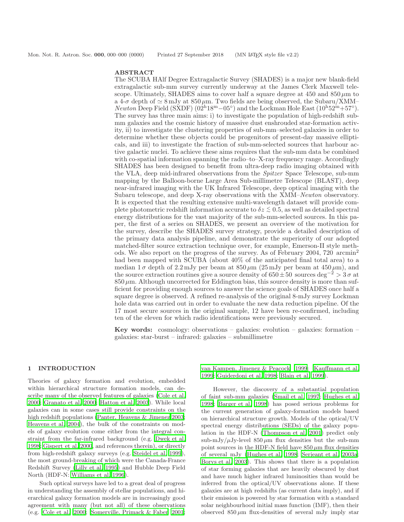### ABSTRACT

The SCUBA HAlf Degree Extragalactic Survey (SHADES) is a major new blank-field extragalactic sub-mm survey currently underway at the James Clerk Maxwell telescope. Ultimately, SHADES aims to cover half a square degree at 450 and  $850 \mu m$  to a 4- $\sigma$  depth of  $\simeq 8 \,\mathrm{mJy}$  at  $850 \,\mathrm{\mu m}$ . Two fields are being observed, the Subaru/XMM– Newton Deep Field (SXDF) (02<sup>h</sup>18<sup>m</sup> – 05°) and the Lockman Hole East (10<sup>h</sup>52<sup>m</sup>+57°). The survey has three main aims: i) to investigate the population of high-redshift submm galaxies and the cosmic history of massive dust enshrouded star-formation activity, ii) to investigate the clustering properties of sub-mm–selected galaxies in order to determine whether these objects could be progenitors of present-day massive ellipticals, and iii) to investigate the fraction of sub-mm-selected sources that harbour active galactic nuclei. To achieve these aims requires that the sub-mm data be combined with co-spatial information spanning the radio–to–X-ray frequency range. Accordingly SHADES has been designed to benefit from ultra-deep radio imaging obtained with the VLA, deep mid-infrared observations from the Spitzer Space Telescope, sub-mm mapping by the Balloon-borne Large Area Sub-millimetre Telescope (BLAST), deep near-infrared imaging with the UK Infrared Telescope, deep optical imaging with the Subaru telescope, and deep X-ray observations with the XMM–Newton observatory. It is expected that the resulting extensive multi-wavelength dataset will provide complete photometric redshift information accurate to  $\delta z \lesssim 0.5$ , as well as detailed spectral energy distributions for the vast majority of the sub-mm-selected sources. In this paper, the first of a series on SHADES, we present an overview of the motivation for the survey, describe the SHADES survey strategy, provide a detailed description of the primary data analysis pipeline, and demonstrate the superiority of our adopted matched-filter source extraction technique over, for example, Emerson-II style methods. We also report on the progress of the survey. As of February 2004, 720 arcmin<sup>2</sup> had been mapped with SCUBA (about  $40\%$  of the anticipated final total area) to a median  $1\sigma$  depth of  $2.2 \text{ mJy}$  per beam at  $850 \mu \text{m}$  ( $25 \text{ mJy}$  per beam at  $450 \mu \text{m}$ ), and the source extraction routines give a source density of 650 $\pm$ 50 sources deg<sup>-2</sup> > 3 $\sigma$  at  $850 \,\mu$ m. Although uncorrected for Eddington bias, this source density is more than sufficient for providing enough sources to answer the science goals of SHADES once half a square degree is observed. A refined re-analysis of the original 8-mJy survey Lockman hole data was carried out in order to evaluate the new data reduction pipeline. Of the 17 most secure sources in the original sample, 12 have been re-confirmed, including ten of the eleven for which radio identifications were previously secured.

Key words: cosmology: observations – galaxies: evolution – galaxies: formation – galaxies: star-burst – infrared: galaxies – submillimetre

## 1 INTRODUCTION

Theories of galaxy formation and evolution, embedded within hierarchical structure formation models, can describe many of the observed features of galaxies [\(Cole et al.](#page-18-0) [2000](#page-18-0); [Granato et al. 2000](#page-18-1); [Hatton et al. 2003](#page-18-2)). While local galaxies can in some cases still provide constraints on the high redshift populations [\(Panter, Heavens & Jimenez 2003;](#page-19-0) [Heavens et al. 2004](#page-18-3)), the bulk of the constraints on models of galaxy evolution come either from the integral constraint from the far-infrared background (e.g. [Dwek et al.](#page-18-4) [1998](#page-18-4); [Gispert et al. 2000,](#page-18-5) and references therein), or directly from high-redshift galaxy surveys (e.g. [Steidel et al. 1999](#page-19-1)), the most ground-breaking of which were the Canada-France Redshift Survey [\(Lilly et al. 1995](#page-19-2)) and Hubble Deep Field North (HDF-N: [Williams et al. 1996\)](#page-19-3).

Such optical surveys have led to a great deal of progress in understanding the assembly of stellar populations, and hierarchical galaxy formation models are in increasingly good agreement with many (but not all) of these observations (e.g. [Cole et al. 2000;](#page-18-0) [Somerville, Primack & Faber 2001;](#page-19-4) [van Kampen, Jimenez & Peacock 1999;](#page-19-5) [Kauffmann et al.](#page-19-6) [1999](#page-19-6); [Guiderdoni et al. 1998](#page-18-6); [Blain et al. 1999](#page-18-7)).

However, the discovery of a substantial population of faint sub-mm galaxies [\(Smail et al. 1997](#page-19-7); [Hughes et al.](#page-18-8) [1998](#page-18-8); [Barger et al. 1998](#page-18-9)) has posed serious problems for the current generation of galaxy-formation models based on hierarchical structure growth. Models of the optical/UV spectral energy distributions (SEDs) of the galaxy population in the HDF-N [\(Thompson et al. 2001](#page-19-8)) predict only sub-mJy/ $\mu$ Jy-level 850  $\mu$ m flux densities but the sub-mm point sources in the HDF-N field have  $850 \mu m$  flux densities of several mJy [\(Hughes et al. 1998](#page-18-8); [Serjeant et al. 2003a](#page-19-9); [Borys et al. 2003\)](#page-18-10). This shows that there is a population of star forming galaxies that are heavily obscured by dust and have much higher infrared luminosities than would be inferred from the optical/UV observations alone. If these galaxies are at high redshifts (as current data imply), and if their emission is powered by star formation with a standard solar neighbourhood initial mass function (IMF), then their observed  $850 \mu m$  flux-densities of several mJy imply star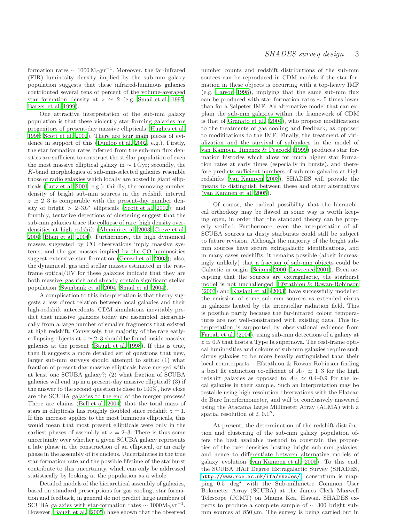formation rates  $\sim 1000 \,\mathrm{M_{\odot}yr^{-1}}$ . Moreover, the far-infrared (FIR) luminosity density implied by the sub-mm galaxy population suggests that these infrared-luminous galaxies contributed several tens of percent of the volume-averaged star formation density at  $z \simeq 2$  (e.g. [Smail et al. 1997;](#page-19-7) [Barger et al. 1999](#page-18-11)).

One attractive interpretation of the sub-mm galaxy population is that these violently star-forming galaxies are progenitors of present-day massive ellipticals [\(Hughes et](#page-18-8) al. [1998](#page-18-8); [Scott et al. 2002](#page-19-10)). There are four main pieces of evidence in support of this [\(Dunlop et al. 2002,](#page-18-12) e.g.). Firstly, the star formation rates inferred from the sub-mm flux densities are sufficient to construct the stellar population of even the most massive elliptical galaxy in  $\sim 1$  Gyr; secondly, the K-band morphologies of sub-mm-selected galaxies resemble those of radio galaxies which locally are hosted in giant ellipticals [\(Lutz et al. 2001](#page-19-11), e.g.); thirdly, the comoving number density of bright sub-mm sources in the redshift interval  $z \approx 2-3$  is comparable with the present-day number density of bright  $> 2-3L^*$  ellipticals [\(Scott et al. 2002\)](#page-19-10); and fourthly, tentative detections of clustering suggest that the sub-mm galaxies trace the collapse of rare, high density overdensities at high redshift [\(Almaini et al. 2003;](#page-18-13) [Greve et al.](#page-18-14) [2004](#page-18-14); [Blain et al. 2004](#page-18-15)). Furthermore, the high dynamical masses suggested by CO observations imply massive systems, and the gas masses implied by the CO luminosities suggest extensive star formation [\(Genzel et al. 2003](#page-18-16)); also, the dynamical, gas and stellar masses estimated in the restframe optical/UV for these galaxies indicate that they are both massive, gas-rich and already contain significant stellar population [\(Swinbank et al. 2004](#page-19-12); [Smail et al. 2004](#page-19-13)).

A complication to this interpretation is that theory suggests a less direct relation between local galaxies and their high-redshift antecedents. CDM simulations inevitably predict that massive galaxies today are assembled hierarchically from a large number of smaller fragments that existed at high redshift. Conversely, the majority of the rare earlycollapsing objects at  $z \approx 2-3$  should be found inside massive galaxies at the present [\(Baugh et al. 1998\)](#page-18-17). If this is true, then it suggests a more detailed set of questions that new, larger sub-mm surveys should attempt to settle: (1) what fraction of present-day massive ellipticals have merged with at least one SCUBA galaxy?; (2) what fraction of SCUBA galaxies will end up in a present-day massive elliptical? (3) if the answer to the second question is close to 100%, how close are the SCUBA galaxies to the end of the merger process? There are claims [\(Bell et al. 2004](#page-18-18)) that the total mass of stars in ellipticals has roughly doubled since redshift  $z = 1$ . If this increase applies to the most luminous ellipticals, this would mean that most present ellipticals were only in the earliest phases of assembly at  $z = 2-3$ . There is thus some uncertainty over whether a given SCUBA galaxy represents a late phase in the construction of an elliptical, or an early phase in the assembly of its nucleus. Uncertainties in the true star-formation rate and the possible lifetime of the starburst contribute to this uncertainty, which can only be addressed statistically by looking at the population as a whole.

Detailed models of the hierarchical assembly of galaxies, based on standard prescriptions for gas cooling, star formation and feedback, in general do not predict large numbers of SCUBA galaxies with star-formation rates  $\sim 1000 M_{\odot}yr^{-1}$ . However, [Baugh et al. \(2005\)](#page-18-19) have shown that the observed number counts and redshift distributions of the sub-mm sources can be reproduced in CDM models if the star formation in these objects is occurring with a top-heavy IMF (e.g. [Larson 1998\)](#page-19-14), implying that the same sub-mm flux can be produced with star formation rates ∼ 5 times lower than for a Salpeter IMF. An alternative model that can explain the sub-mm galaxies within the framework of CDM is that of [Granato et al. \(2004](#page-18-20)), who propose modifications to the treatments of gas cooling and feedback, as opposed to modifications to the IMF. Finally, the treatment of virialization and the survival of subhaloes in the model of [van Kampen, Jimenez & Peacock \(1999](#page-19-5)) produces star formation histories which allow for much higher star formation rates at early times (especially in bursts), and therefore predicts sufficient numbers of sub-mm galaxies at high redshifts [\(van Kampen 2003\)](#page-19-15). SHADES will provide the means to distinguish between these and other alternatives [\(van Kampen et al. 2005\)](#page-19-16).

Of course, the radical possibility that the hierarchical orthodoxy may be flawed in some way is worth keeping open, in order that the standard theory can be properly verified. Furthermore, even the interpretation of all SCUBA sources as dusty starbursts could still be subject to future revision. Although the majority of the bright submm sources have secure extragalactic identifications, and in many cases redshifts, it remains possible (albeit increasingly unlikely) that a fraction of sub-mm objects could be Galactic in origin [\(Sciama 2000](#page-19-17); [Lawrence 2001](#page-19-18)). Even accepting that the sources are extragalactic, the starburst model is not unchallenged: [Efstathiou & Rowan-Robinson](#page-18-21) [\(2003](#page-18-21)) and [Kaviani et al. \(2003](#page-19-19)) have successfully modelled the emission of some sub-mm sources as extended cirrus in galaxies heated by the interstellar radiation field. This is possible partly because the far-infrared colour temperatures are not well-constrained with existing data. This interpretation is supported by observational evidence from [Farrah et al. \(2004](#page-18-22)), using sub-mm detections of a galaxy at  $z \approx 0.5$  that hosts a Type Ia supernova. The rest-frame optical luminosities and colours of sub-mm galaxies require such cirrus galaxies to be more heavily extinguished than their local counterparts – Efstathiou & Rowan-Robinson finding a best fit extinction co-efficient of  $A_V \simeq 1-3$  for the high redshift galaxies as opposed to  $A_V \simeq 0.4{\text{--}}0.9$  for the local galaxies in their sample. Such an interpretation may be testable using high-resolution observations with the Plateau de Bure Interfermometer, and will be conclusively answered using the Atacama Large Millimeter Array (ALMA) with a spatial resolution of  $\lesssim 0.1$ ".

At present, the determination of the redshift distribution and clustering of the sub-mm galaxy population offers the best available method to constrain the properties of the over-densities hosting bright sub-mm galaxies, and hence to differentiate between alternative models of galaxy evolution [\(van Kampen et al. 2005](#page-19-16)). To this end, the SCUBA HAlf Degree Extragalactic Survey (SHADES, <http://www.roe.ac.uk/ifa/shades/>) consortium is mapping 0.5 deg<sup>2</sup> with the Sub-millimetre Common User Bolometer Array (SCUBA) at the James Clerk Maxwell Telescope (JCMT) on Mauna Kea, Hawaii. SHADES expects to produce a complete sample of ∼ 300 bright submm sources at  $850 \mu m$ . The survey is being carried out in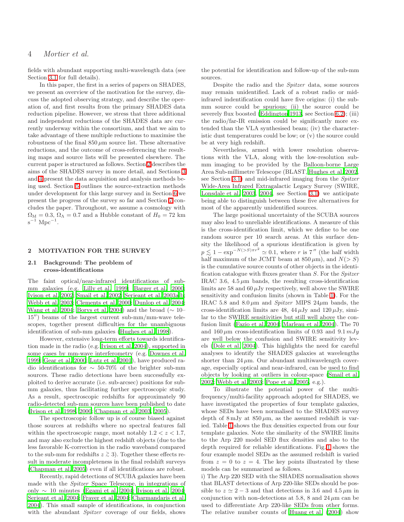fields with abundant supporting multi-wavelength data (see Section [3.1](#page-5-0) for full details).

In this paper, the first in a series of papers on SHADES, we present an overview of the motivation for the survey, discuss the adopted observing strategy, and describe the operation of, and first results from the primary SHADES data reduction pipeline. However, we stress that three additional and independent reductions of the SHADES data are currently underway within the consortium, and that we aim to take advantage of these multiple reductions to maximise the robustness of the final  $850 \mu m$  source list. These alternative reductions, and the outcome of cross-referencing the resulting maps and source lists will be presented elsewhere. The current paper is structured as follows. Section [2](#page-3-0) describes the aims of the SHADES survey in more detail, and Sections [3](#page-5-1) and [4](#page-7-0) present the data acquisition and analysis methods being used. Section [5](#page-10-0) outlines the source-extraction methods under development for this large survey and in Section [6](#page-12-0) we present the progress of the survey so far and Section [7](#page-17-0) concludes the paper. Throughout, we assume a cosmology with  $\Omega_M = 0.3$ ,  $\Omega_{\Lambda} = 0.7$  and a Hubble constant of  $H_0 = 72$  km  $\rm s^{-1}$  Mpc<sup>-1</sup>.

## <span id="page-3-1"></span><span id="page-3-0"></span>2 MOTIVATION FOR THE SURVEY

#### 2.1 Background: The problem of cross-identifications

The faint optical/near-infrared identifications of submm galaxies (e.g. [Lilly et al. 1999](#page-19-20); [Barger et al. 2000;](#page-18-23) [Ivison et al. 2002](#page-19-21); [Smail et al. 2002](#page-19-22); [Serjeant et al. 2003a](#page-19-9)[,b;](#page-19-23) [Webb et al. 2003](#page-19-24); [Clements et al. 2000](#page-18-24); [Dunlop et al. 2004;](#page-18-25) [Wang et al. 2004](#page-19-25); [Borys et al. 2004](#page-18-26)) and the broad ( $\sim 10-$ 15′′) beams of the largest current sub-mm/mm-wave telescopes, together present difficulties for the unambiguous identification of sub-mm galaxies [\(Hughes et al. 1998](#page-18-8)).

However, extensive long-term efforts towards identification made in the radio (e.g. [Ivison et al. 2004](#page-19-26)), supported in some cases by mm-wave interferometry (e.g. [Downes et al.](#page-18-27) [1999](#page-18-27); [Gear et al. 2000](#page-18-28); [Lutz et al. 2001](#page-19-11)), have produced radio identifications for ∼ 50-70% of the brighter sub-mm sources. These radio detections have been successfully exploited to derive accurate (i.e. sub-arcsec) positions for submm galaxies, thus facilitating further spectroscopic study. As a result, spectroscopic redshifts for approximately 90 radio-detected sub-mm sources have been published to date [\(Ivison et al. 1998,](#page-18-29) [2000;](#page-19-27) [Chapman et al. 2003](#page-18-30), [2005](#page-18-31)).

The spectroscopic follow up is of course biased against those sources at redshifts where no spectral features fall within the spectroscopic range, most notably  $1.2 < z < 1.7$ , and may also exclude the highest redshift objects (due to the less favorable K-correction in the radio waveband compared to the sub-mm for redshifts  $z \ge 3$ ). Together these effects result in moderate incompleteness in the final redshift surveys [\(Chapman et al. 2005](#page-18-31)) even if all identifications are robust.

Recently, rapid detections of SCUBA galaxies have been made with the Spitzer Space Telescope, in integrations of only ∼ 10 minutes [\(Egami et al. 2004](#page-18-32); [Ivison et al. 2004;](#page-19-26) [Serjeant et al. 2004;](#page-19-28) [Frayer et al. 2004](#page-18-33); [Charmandaris et al.](#page-18-34) [2004](#page-18-34)). This small sample of identifications, in conjunction with the abundant *Spitzer* coverage of our fields, shows

the potential for identification and follow-up of the sub-mm sources.

Despite the radio and the Spitzer data, some sources may remain unidentified. Lack of a robust radio or midinfrared indentification could have five origins: (i) the submm source could be spurious; (ii) the source could be severely flux boosted [\(Eddington 1913](#page-18-35), see Section [6.2\)](#page-14-0); (iii) the radio/far-IR emission could be significantly more extended than the VLA synthesised beam; (iv) the characteristic dust temperatures could be low; or (v) the source could be at very high redshift.

Nevertheless, armed with lower resolution observations with the VLA, along with the low-resolution submm imaging to be provided by the Balloon-borne Large Area Sub-millimetre Telescope (BLAST, [Hughes et al. 2002](#page-18-36), see Section [3.1\)](#page-5-0) and mid-infrared imaging from the Spitzer Wide-Area Infrared Extragalactic Legacy Survey (SWIRE, [Lonsdale et al. 2003](#page-19-29), [2004](#page-19-30), see Section [3.1\)](#page-5-0) we anticipate being able to distinguish between these five alternatives for most of the apparently unidentified sources.

The large positional uncertainty of the SCUBA sources may also lead to unreliable identifications. A measure of this is the cross-identification limit, which we define to be one random source per 10 search areas. At this surface density the likelihood of a spurious identification is given by  $p \leq 1 - \exp^{-N(>S)\pi r^2} \simeq 0.1$ , where r is 7" (the half width half maximum of the ICMT beam at 850 cm) and  $N(> S)$ half maximum of the JCMT beam at  $850 \,\mu\text{m}$ , and  $N(> S)$ is the cumulative source counts of other objects in the identification catalogue with fluxes greater than S. For the Spitzer IRAC 3.6,  $4.5 \mu m$  bands, the resulting cross-identification limits are 58 and 60  $\mu$ Jy respectively, well above the SWIRE sensitivity and confusion limits (shown in Table [1\)](#page-7-1). For the IRAC 5.8 and  $8.0 \mu m$  and *Spitzer* MIPS 24 $\mu$ m bands, the cross-identification limits are 48, 44  $\mu$ Jy and 120  $\mu$ Jy, similar to the SWIRE sensitivities but still well above the confusion limit [\(Fazio et al. 2004](#page-18-37); [Marleau et al. 2004\)](#page-19-31). The 70 and 160  $\mu$ m cross-identification limits of 0.93 and 9.1 mJy are well below the confusion and SWIRE sensitivity levels [\(Dole et al. 2004](#page-18-38)). This highlights the need for careful analyses to identify the SHADES galaxies at wavelengths shorter than 24  $\mu$ m. Our abundant multiwavelength coverage, especially optical and near-infrared, can be used to find objects by looking at outliers in colour-space [\(Smail et al.](#page-19-22) [2002](#page-19-22); [Webb et al. 2003](#page-19-24); [Pope et al. 2005](#page-19-32), e.g.).

To illustrate the potential power of the multifrequency/multi-facility approach adopted for SHADES, we have investigated the properties of four template galaxies, whose SEDs have been normalised to the SHADES survey depth of  $8 \,\mathrm{mJy}$  at  $850 \,\mathrm{\mu m}$ , as the assumed redshift is varied. Table [1](#page-7-1) shows the flux densities expected from our four template galaxies. Note the similarity of the SWIRE limits to the Arp 220 model SED flux densities and also to the depth required for reliable identifications. Fig. [1](#page-6-0) shows the four example model SEDs as the assumed redshift is varied from  $z = 0$  to  $z = 4$ . The key points illustrated by these models can be summarized as follows.

i) The Arp 220 SED with the SHADES normalisation shows that BLAST detections of Arp 220-like SEDs should be possible to  $z \approx 2-3$  and that detections in 3.6 and 4.5  $\mu$ m in conjunction with non-detections at 5.8, 8 and 24  $\mu$ m can be used to differentiate Arp 220-like SEDs from other forms. The relative number counts of [Huang et al. \(2004\)](#page-18-39) show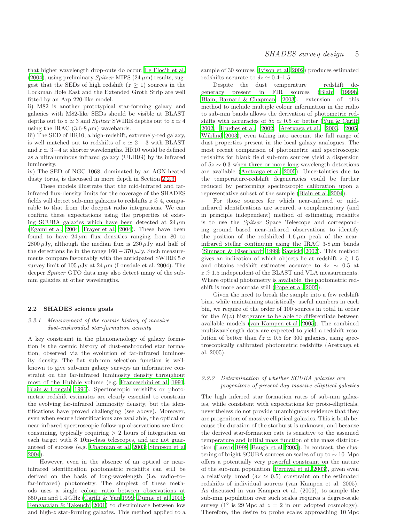that higher wavelength drop-outs do occur; [Le Floc'h et al.](#page-19-33)  $(2004)$  $(2004)$ , using preliminary *Spitzer* MIPS  $(24 \,\mu m)$  results, suggest that the SEDs of high redshift  $(z \geq 1)$  sources in the Lockman Hole East and the Extended Groth Strip are well fitted by an Arp 220-like model.

ii) M82 is another prototypical star-forming galaxy and galaxies with M82-like SEDs should be visible at BLAST depths out to  $z \approx 3$  and *Spitzer* SWIRE depths out to  $z \approx 4$ using the IRAC (3.6-8  $\mu$ m) wavebands.

iii) The SED of HR10, a high-redshift, extremely-red galaxy, is well matched out to redshifts of  $z \approx 2 - 3$  with BLAST and  $z \approx 3-4$  at shorter wavelengths. HR10 would be defined as a ultraluminous infrared galaxy (ULIRG) by its infrared luminosity.

iv) The SED of NGC 1068, dominated by an AGN-heated dusty torus, is discussed in more depth in Section [2.2.3.](#page-5-2)

These models illustrate that the mid-infrared and farinfrared flux-density limits for the coverage of the SHADES fields will detect sub-mm galaxies to redshifts  $z \stackrel{\textstyle <}{\sim} 4$ , comparable to that from the deepest radio integrations. We can confirm these expectations using the properties of existing SCUBA galaxies which have been detected at  $24 \mu m$ [\(Egami et al. 2004](#page-18-32); [Frayer et al. 2004](#page-18-33)). These have been found to have  $24 \mu m$  flux densities ranging from 80 to  $2800 \,\mu\text{Jy}$ , although the median flux is  $230 \,\mu\text{Jy}$  and half of the detections lie in the range  $160 - 370 \,\mu\text{Jy}$ . Such measurements compare favourably with the anticipated SWIRE  $5\sigma$ survey limit of  $105 \mu Jy$  at  $24 \mu m$  (Lonsdale et al. 2004). The deeper Spitzer GTO data may also detect many of the submm galaxies at other wavelengths.

#### 2.2 SHADES science goals

## 2.2.1 Measurement of the cosmic history of massive dust-enshrouded star-formation activity

A key constraint in the phenomenology of galaxy formation is the cosmic history of dust-enshrouded star formation, observed via the evolution of far-infrared luminosity density. The flat sub-mm selection function is wellknown to give sub-mm galaxy surveys an informative constraint on the far-infrared luminosity density throughout most of the Hubble volume (e.g. [Franceschini et al. 1991;](#page-18-40) [Blain & Longair 1996](#page-18-41)). Spectroscopic redshifts or photometric redshift estimates are clearly essential to constrain the evolving far-infrared luminosity density, but the identifications have proved challenging (see above). Moreover, even when secure identifications are available, the optical or near-infrared spectroscopic follow-up observations are timeconsuming, typically requiring  $> 2$  hours of integration on each target with 8–10m-class telescopes, and are not guaranteed of success (e.g. [Chapman et al. 2003](#page-18-30); [Simpson et al](#page-19-34) [2004](#page-19-34)).

However, even in the absence of an optical or nearinfrared identification photometric redshifts can still be derived on the basis of long-wavelength (i.e. radio–to– far-infrared) photometry. The simplest of these methods uses a single colour ratio between observations at  $850 \mu m$  and  $1.4 \text{ GHz}$  [\(Carilli & Yun 1999](#page-18-42); [Dunne et al. 2000;](#page-18-43) [Rengarajan & Takeuchi 2001\)](#page-19-35) to discriminate between low and high-z star-forming galaxies. This method applied to a sample of 30 sources [\(Ivison et al. 2002\)](#page-19-21) produces estimated redshifts accurate to  $\delta z \simeq 0.4$ –1.5.

Despite the dust temperature – redshift degeneracy present in FIR sources [\(Blain 1999b;](#page-18-44) [Blain, Barnard & Chapman 2003](#page-18-45)), extension of this method to include multiple colour information in the radio to sub-mm bands allows the derivation of photometric redshifts with accuracies of  $\delta z \simeq 0.5$  or better [\(Yun & Carilli](#page-19-36) [2002](#page-19-36); [Hughes et al. 2002](#page-18-36); [Aretxaga et al. 2003](#page-18-46), [2005](#page-18-47); [Wiklind 2003\)](#page-19-37), even taking into account the full range of dust properties present in the local galaxy analogues. The most recent comparison of photometric and spectroscopic redshifts for blank field sub-mm sources yield a dispersion of  $\delta z \sim 0.3$  when three or more long-wavelength detections are available [\(Aretxaga et al. 2005](#page-18-47)). Uncertainties due to the temperature-redshift degeneracies could be further reduced by performing spectroscopic calibration upon a representative subset of the sample [\(Blain et al. 2004\)](#page-18-48).

For those sources for which near-infrared or midinfrared identifications are secured, a complementary (and in principle independent) method of estimating redshifts is to use the Spitzer Space Telescope and corresponding ground based near-infrared observations to identify the position of the redshifted  $1.6 \mu m$  peak of the nearinfrared stellar continuum using the IRAC  $3-8 \mu m$  bands [\(Simpson & Eisenhardt 1999](#page-19-38); [Sawicki 2002](#page-19-39)). This method gives an indication of which objects lie at redshift  $z \, \gtrsim \, 1.5$ and obtains redshift estimates accurate to  $\delta z \sim 0.5$  at  $z \stackrel{\scriptstyle <}{\phantom{}_{\sim}} 1.5$  independent of the BLAST and VLA measurements. Where optical photometry is available, the photometric redshift is more accurate still [\(Pope et al. 2005\)](#page-19-32).

Given the need to break the sample into a few redshift bins, while maintaining statistically useful numbers in each bin, we require of the order of 100 sources in total in order for the  $N(z)$  histograms to be able to differentiate between available models [\(van Kampen et al. 2005](#page-19-16)). The combined multiwavelength data are expected to yield a redshift resolution of better than  $\delta z \simeq 0.5$  for 300 galaxies, using spectroscopically calibrated photometric redshifts (Aretxaga et al. 2005).

# 2.2.2 Determination of whether SCUBA galaxies are progenitors of present-day massive elliptical galaxies

The high inferred star formation rates of sub-mm galaxies, while consistent with expectations for proto-ellipticals, nevertheless do not provide unambiguous evidence that they are progenitors of massive elliptical galaxies. This is both because the duration of the starburst is unknown, and because the derived star-formation rate is sensitive to the assumed temperature and initial mass function of the mass distribution [\(Larson 1998;](#page-19-14) [Baugh et al. 2005](#page-18-19)). In contrast, the clustering of bright SCUBA sources on scales of up to ∼ 10 Mpc offers a potentially very powerful constraint on the nature of the sub-mm population [\(Percival et al. 2003](#page-19-40)), given even a relatively broad ( $\delta z \simeq 0.5$ ) constraint on the estimated redshifts of individual sources (van Kampen et al. 2005). As discussed in van Kampen et al. (2005), to sample the sub-mm population over such scales requires a degree-scale survey ( $1°$  is 29 Mpc at  $z = 2$  in our adopted cosmology). Therefore, the desire to probe scales approaching 10 Mpc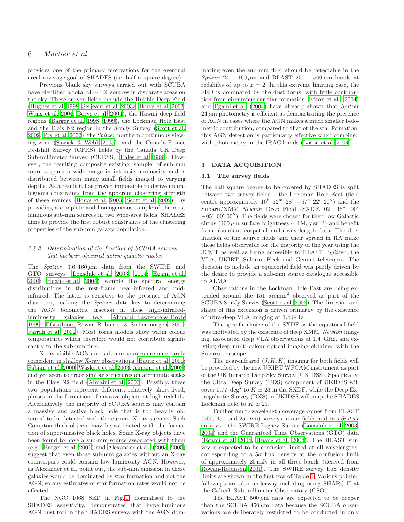# 6 Mortier et al.

provides one of the primary motivations for the eventual areal coverage goal of SHADES (i.e. half a square degree).

Previous blank sky surveys carried out with SCUBA have identified a total of ∼ 100 sources in disparate areas on the sky. These survey fields include the Hubble Deep Field [\(Hughes et al. 1998](#page-18-8); [Serjeant et al. 2003a](#page-19-9); [Borys et al. 2003;](#page-18-10) [Wang et al. 2004;](#page-19-25) [Borys et al. 2004](#page-18-26)), the Hawaii deep field regions [\(Barger et al. 1998](#page-18-9), [1999\)](#page-18-11), the Lockman Hole East and the Elais N2 region in the 8-mJy Survey [\(Scott et al.](#page-19-10) [2002](#page-19-10); [Fox et al. 2002\)](#page-18-49), the Spitzer northern continuous viewing zone [\(Sawicki & Webb 2005\)](#page-19-41), and the Canada-France Redshift Survey (CFRS) fields by the Canada UK Deep Sub-millimeter Survey (CUDSS; [Eales et al. 1999\)](#page-18-50). However, the resulting composite existing 'sample' of sub-mm sources spans a wide range in intrinsic luminosity and is distributed between many small fields imaged to varying depths. As a result it has proved impossible to derive unambiguous constraints from the apparent clustering strength of these sources [\(Borys et al. 2003](#page-18-10); [Scott et al. 2002](#page-19-10)). By providing a complete and homogeneous sample of the most luminous sub-mm sources in two wide-area fields, SHADES aims to provide the first robust constraints of the clustering properties of the sub-mm galaxy population.

## <span id="page-5-2"></span>2.2.3 Determination of the fraction of SCUBA sources that harbour obscured active galactic nuclei

The *Spitzer*  $3.6-160 \mu m$  data from the SWIRE and GTO surveys [\(Lonsdale et al. 2003](#page-19-29), [2004](#page-19-30); [Egami et al.](#page-18-32) [2004](#page-18-32); [Huang et al. 2004](#page-18-39)) sample the spectral energy distributions in the rest-frame near-infrared and midinfrared. The latter is sensitive to the presence of AGN dust tori, making the Spitzer data key to determining the AGN bolometric fraction in these high-infraredluminosity galaxies (e.g. [Almaini, Lawrence & Boyle](#page-18-51) [1999](#page-18-51); [Efstathiou, Rowan-Robinson & Siebenmorgen 2000;](#page-18-52) [Farrah et al. 2002\)](#page-18-53). Most torus models show warm colour temperatures which therefore would not contribute significantly to the sub-mm flux.

X-ray visible AGN and sub-mm sources are only rarely coincident in shallow X-ray observations [\(Bautz et al. 2000;](#page-18-54) [Fabian et al. 2000;](#page-18-55) [Waskett et al. 2003](#page-19-42); [Almaini et al. 2003](#page-18-13)) and yet seem to trace similar structures on arcminute scales in the Elais N2 field [\(Almaini et al. 2003\)](#page-18-13). Possibly, these two populations represent different, relatively short-lived, phases in the formation of massive objects at high redshift. Alternatively, the majority of SCUBA sources may contain a massive and active black hole that is too heavily obscured to be detected with the current X-ray surveys. Such Compton-thick objects may be associated with the formation of super-massive black holes. Some X-ray objects have been found to have a sub-mm source associated with them (e.g. [Barger et al. 2001](#page-18-56)) and [Alexander et al. \(2003](#page-18-57), [2005](#page-18-58)) suggest that even those sub-mm galaxies without an X-ray counterpart could contain low luminosity AGN. However, as Alexander et al. point out, the sub-mm emission in these galaxies would be dominated by star formation and not the AGN, so any estimates of star formation rates would not be affected.

The NGC 1068 SED in Fig. [1,](#page-6-0) normalised to the SHADES sensitivity, demonstrates that hyperluminous AGN dust tori in the SHADES survey, with the AGN dominating even the sub-mm flux, should be detectable in the Spitzer 24 – 160  $\mu$ m and BLAST 250 – 500  $\mu$ m bands at redshifts of up to  $z = 2$ . In this extreme limiting case, the SED is dominated by the dust torus, with little contribution from circumnuclear star formation. [Ivison et al. \(2004](#page-19-26)) and [Egami et al. \(2004](#page-18-32)) have already shown that Spitzer  $24 \mu m$  photometry is efficient at demonstrating the presence of AGN in cases where the AGN makes a much smaller bolometric contribution, compared to that of the star formation; this AGN detection is particularly effective when combined with photometry in the IRAC bands [\(Ivison et al. 2004](#page-19-26)).

## <span id="page-5-1"></span><span id="page-5-0"></span>3 DATA ACQUISITION

## 3.1 The survey fields

The half square degree to be covered by SHADES is split between two survey fields – the Lockman Hole East (field centre approximately  $10^{\rm h}$   $52^{\rm m}$   $28^{\rm s}$   $+57^{\circ}$   $22'$   $20'$ ) and the Subaru/XMM-Newton Deep Field (SXDF, 02h 18m 00s)  $-05^{\circ}$   $00'$   $00'')$  . The fields were chosen for their low Galactic cirrus (100  $\mu$ m surface brightness ~ 1MJy sr<sup>-1</sup>) and benefit from abundant cospatial multi-wavelength data. The declination of the source fields and their spread in RA make these fields observable for the majority of the year using the JCMT as well as being accessible to BLAST, Spitzer, the VLA, UKIRT, Subaru, Keck and Gemini telescopes. The decision to include an equatorial field was partly driven by the desire to provide a sub-mm source catalogue accessible to ALMA.

Observations in the Lockman Hole East are being extended around the 151 arcmin<sup>2</sup> observed as part of the SCUBA 8-mJy Survey [\(Scott et al. 2002](#page-19-10)). The direction and shape of this extension is driven primarily by the existence of ultra-deep VLA imaging at 1.4 GHz.

The specific choice of the SXDF as the equatorial field was motivated by the existence of deep XMM–Newton imaging, associated deep VLA observations at 1.4 GHz, and existing deep multi-colour optical imaging obtained with the Subaru telescope.

The near-infrared  $(J, H, K)$  imaging for both fields will be provided by the new UKIRT WFCAM instrument as part of the UK Infrared Deep Sky Survey (UKIDSS). Specifically, the Ultra Deep Survey (UDS) component of UKIDSS will cover 0.77 deg<sup>2</sup> to  $K \simeq 23$  in the SXDF, while the Deep Extragalactic Survey (DXS) in UKIDSS will map the SHADES Lockman field to  $K \simeq 21$ .

Further multi-wavelength coverage comes from BLAST  $(500, 350 \text{ and } 250 \mu \text{m})$  surveys in our fields and two *Spitzer* surveys – the SWIRE Legacy Survey [\(Lonsdale et al. 2003](#page-19-29), [2004](#page-19-30)) and the Guaranteed Time Observations (GTO) data [\(Egami et al. 2004](#page-18-32); [Huang et al. 2004](#page-18-39)). The BLAST survey is expected to be confusion limited at all wavelengths, corresponding to a  $5\sigma$  flux density at the confusion limit of approximately 25 mJy in all three bands (derived from [Rowan-Robinson 2001](#page-19-43)). The SWIRE survey flux density limits are shown in the first row of Table [1.](#page-7-1) Various pointed followups are also underway including using SHARC-II at the Caltech Sub-millimeter Observatory (CSO).

The BLAST  $500 \mu m$  data are expected to be deeper than the SCUBA 450  $\mu$ m data because the SCUBA observations are deliberately restricted to be conducted in only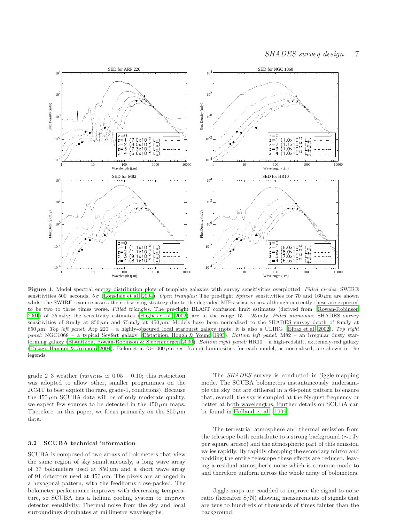

<span id="page-6-0"></span>Figure 1. Model spectral energy distribution plots of template galaxies with survey sensitivities overplotted. Filled circles: SWIRE sensitivities 500 seconds,  $5\sigma$  [\(Lonsdale et al. 2004](#page-19-30)). Open triangles: The pre-flight Spitzer sensitivities for 70 and 160  $\mu$ m are shown whilst the SWIRE team re-assess their observing strategy due to the degraded MIPs sensitivities, although currently these are expected to be two to three times worse. Filled triangles: The pre-flight BLAST confusion limit estimates (derived from [Rowan-Robinson](#page-19-43) [2001](#page-19-43)) of 25 mJy; the sensitivity estimates [\(Hughes et al. 2002](#page-18-36)) are in the range 15 − 25 mJy. Filled diamonds: SHADES survey sensitivities of 8 mJy at  $850 \mu m$  and  $75 \text{ mJy}$  at  $450 \mu m$ . Models have been normalised to the SHADES survey depth of 8 mJy at  $850 \,\mu m$ . Top left panel: Arp 220 – a highly-obscured local starburst galaxy (note: it is also a ULIRG [Elbaz et al. 2002](#page-18-59)). Top right panel: NGC1068 – a typical Seyfert galaxy [\(Efstathiou, Hough & Young 1995](#page-18-60)). Bottom left panel: M82 – an irregular dusty star-forming galaxy [\(Efstathiou, Rowan-Robinson & Siebenmorgen 2000\)](#page-18-52). Bottom right panel: HR10 – a high-redshift, extremely-red galaxy [\(Takagi, Hanami & Arimoto 2004\)](#page-19-44). Bolometric  $(3-1000 \,\mu m$  rest-frame) luminosities for each model, as normalised, are shown in the legends.

grade 2–3 weather ( $\tau_{225\,\text{GHz}} \simeq 0.05 - 0.10$ ; this restriction was adopted to allow other, smaller programmes on the JCMT to best exploit the rare, grade-1, conditions). Because the  $450 \mu m$  SCUBA data will be of only moderate quality, we expect few sources to be detected in the  $450 \,\mu \text{m}$  maps. Therefore, in this paper, we focus primarily on the  $850 \,\mu m$ data.

#### 3.2 SCUBA technical information

SCUBA is composed of two arrays of bolometers that view the same region of sky simultaneously, a long wave array of 37 bolometers used at  $850 \,\mu m$  and a short wave array of 91 detectors used at  $450 \mu m$ . The pixels are arranged in a hexagonal pattern, with the feedhorns close-packed. The bolometer performance improves with decreasing temperature, so SCUBA has a helium cooling system to improve detector sensitivity. Thermal noise from the sky and local surroundings dominates at millimetre wavelengths.

The SHADES survey is conducted in jiggle-mapping mode. The SCUBA bolometers instantaneously undersample the sky but are dithered in a 64-point pattern to ensure that, overall, the sky is sampled at the Nyquist frequency or better at both wavelengths. Further details on SCUBA can be found in [Holland et al. \(1999](#page-18-61)).

The terrestrial atmosphere and thermal emission from the telescope both contribute to a strong background (∼1 Jy per square arcsec) and the atmospheric part of this emission varies rapidly. By rapidly chopping the secondary mirror and nodding the entire telescope these effects are reduced, leaving a residual atmospheric noise which is common-mode to and therefore uniform across the whole array of bolometers.

Jiggle-maps are coadded to improve the signal to noise ratio (hereafter S/N) allowing measurements of signals that are tens to hundreds of thousands of times fainter than the background.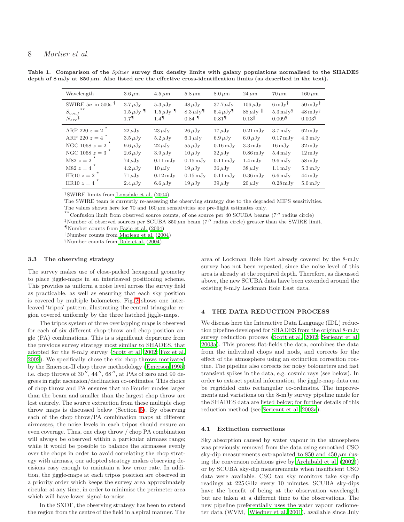| Wavelength                                                                            | $3.6 \,\mu m$                                                 | $4.5 \,\mathrm{\mu m}$                                            | $5.8 \,\mathrm{\mu m}$                                            | $8.0 \,\mu m$                                        | $24 \,\mu m$                                 | $70 \,\mu m$                                                           | $160 \,\mathrm{\mu m}$                                                          |
|---------------------------------------------------------------------------------------|---------------------------------------------------------------|-------------------------------------------------------------------|-------------------------------------------------------------------|------------------------------------------------------|----------------------------------------------|------------------------------------------------------------------------|---------------------------------------------------------------------------------|
| SWIRE $5\sigma$ in 500s $^{\dagger}$<br>$***$<br>$S_{conf}$<br>$N_{src}$ <sup>‡</sup> | $3.7 \mu Jy$<br>$1.5 \,\mu\text{Jy}$ 1<br>$1.7$ <sup>-1</sup> | $5.3 \mu Jy$<br>$1.5 \mu Jy$ $\blacksquare$<br>$1.4$ <sup>9</sup> | $48 \mu Jy$<br>$8.3 \mu Jy$ <sup>9</sup><br>$0.84$ $\blacksquare$ | $37.7 \mu Jy$<br>$5.4 \mu Jy$<br>$0.81$ <sup>9</sup> | $106 \mu Jy$<br>$88 \mu \mathrm{Jy}$<br>0.13 | $6 \,\mathrm{mJy}^{\dagger}$<br>$5.3 \,\mathrm{mJy^{\S}}$<br>$0.009\%$ | $50 \,\mathrm{mJy}^{\dagger}$<br>$48 \,\mathrm{mJy}^{\S}$<br>0.003 <sup>8</sup> |
| ARP 220 $z = 2^*$                                                                     | $22 \mu Jy$                                                   | $23 \mu Jy$                                                       | $26 \mu Jy$                                                       | $17 \mu Jy$                                          | $0.21 \,\mathrm{mJy}$                        | $3.7 \,\mathrm{mJy}$                                                   | $62 \,\mathrm{mJy}$                                                             |
| ARP 220 $z = 4$ <sup>*</sup>                                                          | $3.5 \,\mu Jy$                                                | $5.2 \mu Jy$                                                      | 6.1 $\mu$ Jy                                                      | $6.9 \mu Jy$                                         | $6.0 \mu Jy$                                 | $0.17 \,\mathrm{mJy}$                                                  | $4.3 \,\mathrm{mJy}$                                                            |
| NGC 1068 $z = 2$                                                                      | $9.6 \mu Jy$                                                  | $22 \mu Jy$                                                       | $55 \,\mu\text{Jy}$                                               | $0.16 \,\mathrm{mJy}$                                | $3.3 \,\mathrm{mJy}$                         | $16 \,\mathrm{mJy}$                                                    | $32 \,\mathrm{mJy}$                                                             |
| NGC 1068 $z = 3^*$                                                                    | $2.6 \mu Jy$                                                  | $3.9 \mu Jy$                                                      | $10 \mu Jy$                                                       | $32 \mu Jy$                                          | $0.86\,\mathrm{mJy}$                         | $5.4 \,\mathrm{mJy}$                                                   | $12 \,\mathrm{mJy}$                                                             |
| M82 $z = 2$ <sup>*</sup>                                                              | $74 \mu Jy$                                                   | $0.11 \,\mathrm{mJy}$                                             | $0.15 \,\mathrm{mJy}$                                             | $0.11 \,\mathrm{mJy}$                                | $1.4 \,\mathrm{mJy}$                         | $9.6 \,\mathrm{mJy}$                                                   | $58 \,\mathrm{mJy}$                                                             |
| $M82 z = 4$                                                                           | $4.2 \mu Jy$                                                  | $10 \mu Jy$                                                       | $19 \mu Jy$                                                       | $36 \mu Jy$                                          | $38 \mu Jy$                                  | $1.1 \,\mathrm{mJy}$                                                   | $5.3 \,\mathrm{mJy}$                                                            |
| HR10 $z = 2^{\star}$                                                                  | $71 \mu Jy$                                                   | $0.12 \,\mathrm{mJy}$                                             | $0.15 \,\mathrm{mJy}$                                             | $0.11 \,\mathrm{mJy}$                                | $0.36 \,\mathrm{mJy}$                        | $6.6 \,\mathrm{mJy}$                                                   | $44 \,\mathrm{mJy}$                                                             |
| HR10 $z = 4$ <sup>*</sup>                                                             | $2.4 \mu Jy$                                                  | $6.6 \mu Jv$                                                      | $19 \mu Jv$                                                       | $39 \mu Jv$                                          | $20 \mu Jv$                                  | $0.28 \,\mathrm{mJy}$                                                  | $5.0\,\mathrm{mJy}$                                                             |

<span id="page-7-1"></span>Table 1. Comparison of the Spitzer survey flux density limits with galaxy populations normalised to the SHADES depth of 8 mJy at 850  $\mu$ m. Also listed are the effective cross-identification limits (as described in the text).

†SWIRE limits from [Lonsdale et al. \(2004](#page-19-30)).

The SWIRE team is currently re-assessing the observing strategy due to the degraded MIPS sensitivities.

The values shown here for 70 and  $160 \mu m$  sensitivities are pre-flight estimates only.

\*\* Confusion limit from observed source counts, of one source per 40 SCUBA beams (7" radius circle)

<sup>‡</sup>Number of observed sources per SCUBA 850  $\mu$ m beam (7'' radius circle) greater than the SWIRE limit.

¶Number counts from [Fazio et al. \(2004\)](#page-18-37)

When counts from Marleau et al.  $(2004)$ 

§Number counts from [Dole et al. \(2004](#page-18-38))

#### 3.3 The observing strategy

The survey makes use of close-packed hexagonal geometry to place jiggle-maps in an interleaved positioning scheme. This provides as uniform a noise level across the survey field as practicable, as well as ensuring that each sky position is covered by multiple bolometers. Fig. [2](#page-8-0) shows one interleaved 'tripos' pattern, illustrating the central triangular region covered uniformly by the three hatched jiggle-maps.

The tripos system of three overlapping maps is observed for each of six different chop-throw and chop position angle (PA) combinations. This is a significant departure from the previous survey strategy most similar to SHADES, that adopted for the 8-mJy survey [\(Scott et al. 2002](#page-19-10); [Fox et al.](#page-18-49) [2002](#page-18-49)). We specifically chose the six chop throws motivated by the Emerson-II chop throw methodology [\(Emerson 1995](#page-18-62)) i.e. chop throws of 30", 44", 68", at PAs of zero and 90 degrees in right ascension/declination co-ordinates. This choice of chop throw and PA ensures that no Fourier modes larger than the beam and smaller than the largest chop throw are lost entirely. The source extraction from these multiple chop throw maps is discussed below (Section [5\)](#page-10-0). By observing each of the chop throw/PA combination maps at different airmasses, the noise levels in each tripos should ensure an even coverage. Thus, one chop throw / chop PA combination will always be observed within a particular airmass range; while it would be possible to balance the airmasses evenly over the chops in order to avoid correlating the chop strategy with airmass, our adopted strategy makes observing decisions easy enough to maintain a low error rate. In addition, the jiggle-maps at each tripos position are observed in a priority order which keeps the survey area approximately circular at any time, in order to minimise the perimeter area which will have lower signal-to-noise.

In the SXDF, the observing strategy has been to extend the region from the centre of the field in a spiral manner. The area of Lockman Hole East already covered by the 8-mJy survey has not been repeated, since the noise level of this area is already at the required depth. Therefore, as discussed above, the new SCUBA data have been extended around the existing 8-mJy Lockman Hole East data.

## <span id="page-7-0"></span>4 THE DATA REDUCTION PROCESS

We discuss here the Interactive Data Language (IDL) reduction pipeline developed for SHADES from the original 8-mJy survey reduction process [\(Scott et al. 2002](#page-19-10); [Serjeant et al.](#page-19-9) [2003a](#page-19-9)). This process flat-fields the data, combines the data from the individual chops and nods, and corrects for the effect of the atmosphere using an extinction correction routine. The pipeline also corrects for noisy bolometers and fast transient spikes in the data, e.g. cosmic rays (see below). In order to extract spatial information, the jiggle-map data can be regridded onto rectangular co-ordinates. The improvements and variations on the 8-mJy survey pipeline made for the SHADES data are listed below; for further details of this reduction method (see [Serjeant et al. 2003a](#page-19-9)).

#### 4.1 Extinction corrections

Sky absorption caused by water vapour in the atmosphere was previously removed from the data using smoothed CSO sky-dip measurements extrapolated to 850 and  $450 \,\mu m$  (using the conversion relations give by [Archibald et al. \(2002](#page-18-63))) or by SCUBA sky-dip measurements when insufficient CSO data were available. CSO tau sky monitors take sky-dip readings at 225 GHz every 10 minutes. SCUBA sky-dips have the benefit of being at the observation wavelength but are taken at a different time to the observations. The new pipeline preferentially uses the water vapour radiometer data (WVM, [Wiedner et al. 2001](#page-19-45)), available since July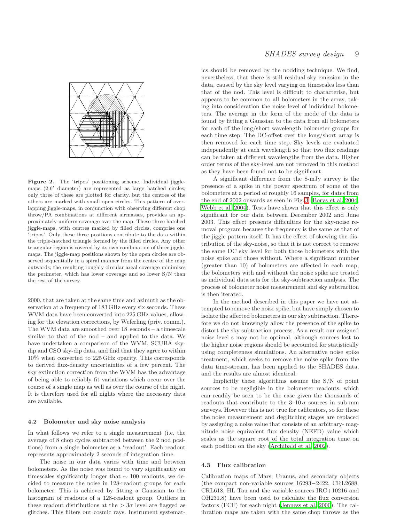

<span id="page-8-0"></span>Figure 2. The 'tripos' positioning scheme. Individual jigglemaps (2.6 ′ diameter) are represented as large hatched circles; only three of these are plotted for clarity, but the centres of the others are marked with small open circles. This pattern of overlapping jiggle-maps, in conjunction with observing different chop throw/PA combinations at different airmasses, provides an approximately uniform coverage over the map. These three hatched jiggle-maps, with centres marked by filled circles, comprise one 'tripos'. Only these three positions contribute to the data within the triple-hatched triangle formed by the filled circles. Any other triangular region is covered by its own combination of three jigglemaps. The jiggle-map positions shown by the open circles are observed sequentially in a spiral manner from the centre of the map outwards; the resulting roughly circular areal coverage minimises the perimeter, which has lower coverage and so lower S/N than the rest of the survey.

2000, that are taken at the same time and azimuth as the observation at a frequency of 183 GHz every six seconds. These WVM data have been converted into 225 GHz values, allowing for the elevation corrections, by Weferling (priv. comm.). The WVM data are smoothed over 18 seconds – a timescale similar to that of the nod – and applied to the data. We have undertaken a comparison of the WVM, SCUBA skydip and CSO sky-dip data, and find that they agree to within 10% when converted to 225 GHz opacity. This corresponds to derived flux-density uncertainties of a few percent. The sky extinction correction from the WVM has the advantage of being able to reliably fit variations which occur over the course of a single map as well as over the course of the night. It is therefore used for all nights where the necessary data are available.

#### <span id="page-8-1"></span>4.2 Bolometer and sky noise analysis

In what follows we refer to a single measurement (i.e. the average of 8 chop cycles subtracted between the 2 nod positions) from a single bolometer as a 'readout'. Each readout represents approximately 2 seconds of integration time.

The noise in our data varies with time and between bolometers. As the noise was found to vary significantly on timescales significantly longer that  $\sim 100$  readouts, we decided to measure the noise in 128-readout groups for each bolometer. This is achieved by fitting a Gaussian to the histogram of readouts of a 128-readout group. Outliers in these readout distributions at the  $> 3\sigma$  level are flagged as glitches. This filters out cosmic rays. Instrument systematics should be removed by the nodding technique. We find, nevertheless, that there is still residual sky emission in the data, caused by the sky level varying on timescales less than that of the nod. This level is difficult to characterise, but appears to be common to all bolometers in the array, taking into consideration the noise level of individual bolometers. The average in the form of the mode of the data is found by fitting a Gaussian to the data from all bolometers for each of the long/short wavelength bolometer groups for each time step. The DC-offset over the long/short array is then removed for each time step. Sky levels are evaluated independently at each wavelength so that two flux readings can be taken at different wavelengths from the data. Higher order terms of the sky-level are not removed in this method as they have been found not to be significant.

A significant difference from the 8-mJy survey is the presence of a spike in the power spectrum of some of the bolometers at a period of roughly 16 samples, for dates from the end of 2002 onwards as seen in Fig. [3](#page-9-0) [\(Borys et al. 2004](#page-18-26); [Webb et al. 2004](#page-19-46)). Tests have shown that this effect is only significant for our data between December 2002 and June 2003. This effect presents difficulties for the sky-noise removal program because the frequency is the same as that of the jiggle pattern itself. It has the effect of skewing the distribution of the sky-noise, so that it is not correct to remove the same DC sky level for both those bolometers with the noise spike and those without. Where a significant number (greater than 10) of bolometers are affected in each map, the bolometers with and without the noise spike are treated as individual data sets for the sky-subtraction analysis. The process of bolometer noise measurement and sky subtraction is then iterated.

In the method described in this paper we have not attempted to remove the noise spike, but have simply chosen to isolate the affected bolometers in our sky subtraction. Therefore we do not knowingly allow the presence of the spike to distort the sky subtraction process. As a result our assigned noise level s may not be optimal, although sources lost to the higher noise regions should be accounted for statistically using completeness simulations. An alternative noise spike treatment, which seeks to remove the noise spike from the data time-stream, has been applied to the SHADES data, and the results are almost identical.

Implicitly these algorithms assume the S/N of point sources to be negligible in the bolometer readouts, which can readily be seen to be the case given the thousands of readouts that contribute to the  $3-10\sigma$  sources in sub-mm surveys. However this is not true for calibrators, so for these the noise measurement and deglitching stages are replaced by assigning a noise value that consists of an arbitrary- magnitude noise equivalent flux density (NEFD) value which scales as the square root of the total integration time on each position on the sky [\(Archibald et al. 2002](#page-18-63)).

#### 4.3 Flux calibration

Calibration maps of Mars, Uranus, and secondary objects (the compact non-variable sources 16293−2422, CRL2688, CRL618, HL Tau and the variable sources IRC+10216 and OH231.8) have been used to calculate the flux conversion factors (FCF) for each night [\(Jenness et al. 2000](#page-19-47)). The calibration maps are taken with the same chop throws as the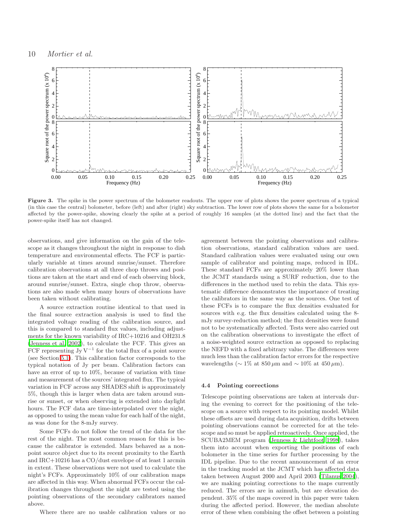

<span id="page-9-0"></span>Figure 3. The spike in the power spectrum of the bolometer readouts. The upper row of plots shows the power spectrum of a typical (in this case the central) bolometer, before (left) and after (right) sky subtraction. The lower row of plots shows the same for a bolometer affected by the power-spike, showing clearly the spike at a period of roughly 16 samples (at the dotted line) and the fact that the power-spike itself has not changed.

observations, and give information on the gain of the telescope as it changes throughout the night in response to dish temperature and environmental effects. The FCF is particularly variable at times around sunrise/sunset. Therefore calibration observations at all three chop throws and positions are taken at the start and end of each observing block, around sunrise/sunset. Extra, single chop throw, observations are also made when many hours of observations have been taken without calibrating.

A source extraction routine identical to that used in the final source extraction analysis is used to find the integrated voltage reading of the calibration source, and this is compared to standard flux values, including adjustments for the known variability of IRC+10216 and OH231.8 [\(Jenness et al. 2002](#page-19-48)), to calculate the FCF. This gives an FCF representing  $JyV^{-1}$  for the total flux of a point source (see Section [5.1\)](#page-10-1). This calibration factor corresponds to the typical notation of Jy per beam. Calibration factors can have an error of up to 10%, because of variation with time and measurement of the sources' integrated flux. The typical variation in FCF across any SHADES shift is approximately 5%, though this is larger when data are taken around sunrise or sunset, or when observing is extended into daylight hours. The FCF data are time-interpolated over the night, as opposed to using the mean value for each half of the night, as was done for the 8-mJy survey.

Some FCFs do not follow the trend of the data for the rest of the night. The most common reason for this is because the calibrator is extended. Mars behaved as a nonpoint source object due to its recent proximity to the Earth and IRC+10216 has a CO/dust envelope of at least 1 arcmin in extent. These observations were not used to calculate the night's FCFs. Approximately 10% of our calibration maps are affected in this way. When abnormal FCFs occur the calibration changes throughout the night are tested using the pointing observations of the secondary calibrators named above.

Where there are no usable calibration values or no

agreement between the pointing observations and calibration observations, standard calibration values are used. Standard calibration values were evaluated using our own sample of calibrator and pointing maps, reduced in IDL. These standard FCFs are approximately 20% lower than the JCMT standards using a SURF reduction, due to the differences in the method used to rebin the data. This systematic difference demonstrates the importance of treating the calibrators in the same way as the sources. One test of these FCFs is to compare the flux densities evaluated for sources with e.g. the flux densities calculated using the 8 mJy survey-reduction method; the flux densities were found not to be systematically affected. Tests were also carried out on the calibration observations to investigate the effect of a noise-weighted source extraction as opposed to replacing the NEFD with a fixed arbitrary value. The differences were much less than the calibration factor errors for the respective wavelengths ( $\sim 1\%$  at 850 µm and  $\sim 10\%$  at 450 µm).

#### 4.4 Pointing corrections

Telescope pointing observations are taken at intervals during the evening to correct for the positioning of the telescope on a source with respect to its pointing model. Whilst these offsets are used during data acquisition, drifts between pointing observations cannot be corrected for at the telescope and so must be applied retroactively. Once applied, the SCUBA2MEM program [\(Jenness & Lightfoot 1998](#page-19-49)), takes them into account when exporting the positions of each bolometer in the time series for further processing by the IDL pipeline. Due to the recent announcement of an error in the tracking model at the JCMT which has affected data taken between August 2000 and April 2003 [\(Tilanus 2004](#page-19-50)), we are making pointing corrections to the maps currently reduced. The errors are in azimuth, but are elevation dependent. 35% of the maps covered in this paper were taken during the affected period. However, the median absolute error of these when combining the offset between a pointing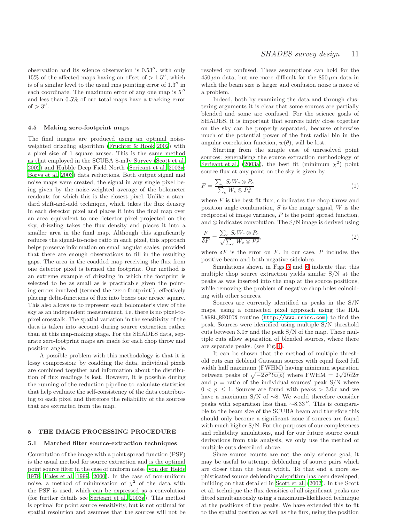observation and its science observation is 0.53′′, with only 15% of the affected maps having an offset of  $> 1.5''$ , which is of a similar level to the usual rms pointing error of 1.3" in each coordinate. The maximum error of any one map is  $5''$ and less than 0.5% of our total maps have a tracking error of  $> 3''$ .

#### <span id="page-10-2"></span>4.5 Making zero-footprint maps

The final images are produced using an optimal noiseweighted drizzling algorithm [\(Fruchter & Hook 2002\)](#page-18-64) with a pixel size of 1 square arcsec. This is the same method as that employed in the SCUBA 8-mJy Survey [\(Scott et al.](#page-19-10) [2002](#page-19-10)) and Hubble Deep Field North [\(Serjeant et al. 2003a](#page-19-9); [Borys et al. 2003\)](#page-18-10) data reductions. Both output signal and noise maps were created, the signal in any single pixel being given by the noise-weighted average of the bolometer readouts for which this is the closest pixel. Unlike a standard shift-and-add technique, which takes the flux density in each detector pixel and places it into the final map over an area equivalent to one detector pixel projected on the sky, drizzling takes the flux density and places it into a smaller area in the final map. Although this significantly reduces the signal-to-noise ratio in each pixel, this approach helps preserve information on small angular scales, provided that there are enough observations to fill in the resulting gaps. The area in the coadded map receiving the flux from one detector pixel is termed the footprint. Our method is an extreme example of drizzling in which the footprint is selected to be as small as is practicable given the pointing errors involved (termed the 'zero-footprint'), effectively placing delta-functions of flux into boxes one arcsec square. This also allows us to represent each bolometer's view of the sky as an independent measurement, i.e. there is no pixel-topixel crosstalk. The spatial variation in the sensitivity of the data is taken into account during source extraction rather than at this map-making stage. For the SHADES data, separate zero-footprint maps are made for each chop throw and position angle.

A possible problem with this methodology is that it is lossy compression: by coadding the data, individual pixels are combined together and information about the distribution of flux readings is lost. However, it is possible during the running of the reduction pipeline to calculate statistics that help evaluate the self-consistency of the data contributing to each pixel and therefore the reliability of the sources that are extracted from the map.

## <span id="page-10-1"></span><span id="page-10-0"></span>5 THE IMAGE PROCESSING PROCEDURE

#### 5.1 Matched filter source-extraction techniques

Convolution of the image with a point spread function (PSF) is the usual method for source extraction and is the optimal point source filter in the case of uniform noise [\(von der Heide](#page-18-65) [1979](#page-18-65); [Eales et al. 1999](#page-18-50), [2000\)](#page-18-66). In the case of non-uniform noise, a method of minimisation of  $\chi^2$  of the data with the PSF is used, which can be expressed as a convolution (for further details see [Serjeant et al. 2003a](#page-19-9)). This method is optimal for point source sensitivity, but is not optimal for spatial resolution and assumes that the sources will not be

resolved or confused. These assumptions can hold for the  $450 \mu m$  data, but are more difficult for the  $850 \mu m$  data in which the beam size is larger and confusion noise is more of a problem.

Indeed, both by examining the data and through clustering arguments it is clear that some sources are partially blended and some are confused. For the science goals of SHADES, it is important that sources fairly close together on the sky can be properly separated, because otherwise much of the potential power of the first radial bin in the angular correlation function,  $w(\theta)$ , will be lost.

Starting from the simple case of unresolved point sources: generalising the source extraction methodology of [Serjeant et al. \(2003a](#page-19-9)), the best fit (minimum  $\chi^2$ ) point source flux at any point on the sky is given by

$$
F = \frac{\sum_{c} S_c W_c \otimes P_c}{\sum_{c} W_c \otimes P_c^2}
$$
 (1)

where  $F$  is the best fit flux,  $c$  indicates the chop throw and position angle combination,  $S$  is the image signal,  $W$  is the reciprocal of image variance, P is the point spread function, and  $\otimes$  indicates convolution. The S/N image is derived using

$$
\frac{F}{\delta F} = \frac{\sum_{c} S_c W_c \otimes P_c}{\sqrt{\sum_{c} W_c \otimes P_c^2}},\tag{2}
$$

where  $\delta F$  is the error on F. In our case, P includes the positive beam and both negative sidelobes.

Simulations shown in Figs. [5](#page-12-1) and [6](#page-13-0) indicate that this multiple chop source extraction yields similar S/N at the peaks as was inserted into the map at the source positions, while removing the problem of negative-chop holes coinciding with other sources.

Sources are currently identified as peaks in the S/N maps, using a connected pixel approach using the IDL LABEL REGION routine (<http://www.rsinc.com>) to find the peak. Sources were identified using multiple S/N threshold cuts between  $3.0\sigma$  and the peak S/N of the map. These multiple cuts allow separation of blended sources, where there are separate peaks. (see Fig. [4\)](#page-11-0).

It can be shown that the method of multiple threshold cuts can deblend Gaussian sources with equal fixed full width half maximum (FWHM) having minimum separation between peaks of  $\sqrt{-2 \sigma^2 ln(p)}$  where FWHM =  $2\sqrt{2ln2\sigma}$ and  $p =$  ratio of the individual sources' peak  $S/N$  where  $0 \leq p \leq 1$ . Sources are found with peaks  $> 3.0\sigma$  and we have a maximum S/N of ∼8. We would therefore consider peaks with separation less than  $\sim$ 8.33". This is comparable to the beam size of the SCUBA beam and therefore this should only become a significant issue if sources are found with much higher  $S/N$ . For the purposes of our completeness and reliability simulations, and for our future source count derivations from this analysis, we only use the method of multiple cuts described above.

Since source counts are not the only science goal, it may be useful to attempt deblending of source pairs which are closer than the beam width. To that end a more sophisticated source deblending algorithm has been developed, building on that detailed in [Scott et al. \(2002](#page-19-10)). In the Scott et al. technique the flux densities of all significant peaks are fitted simultaneously using a maximum-likelihood technique at the positions of the peaks. We have extended this to fit to the spatial position as well as the flux, using the position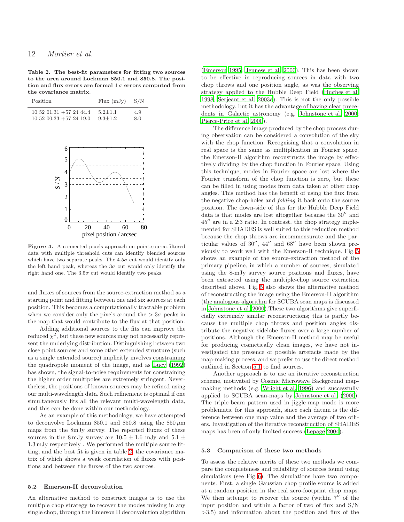# 12 Mortier et al.

<span id="page-11-1"></span>Table 2. The best-fit parameters for fitting two sources to the area around Lockman 850.1 and 850.8. The position and flux errors are formal  $1\sigma$  errors computed from the covariance matrix.

| Position                       | $Flux$ $(mJy)$ | S/N |
|--------------------------------|----------------|-----|
| $10\ 52\ 01.31\ +57\ 24\ 44.4$ | $5.2 + 1.1$    | 4.9 |
| $10\ 52\ 00.33\ +57\ 24\ 19.0$ | $9.3 \pm 1.2$  | 8.0 |



<span id="page-11-0"></span>Figure 4. A connected pixels approach on point-source-filtered data with multiple threshold cuts can identify blended sources which have two separate peaks. The  $4.5\sigma$  cut would identify only the left hand peak, whereas the  $3\sigma$  cut would only identify the right hand one. The  $3.5\sigma$  cut would identify two peaks.

and fluxes of sources from the source-extraction method as a starting point and fitting between one and six sources at each position. This becomes a computationally tractable problem when we consider only the pixels around the  $> 3\sigma$  peaks in the map that would contribute to the flux at that position.

Adding additional sources to the fits can improve the reduced  $\chi^2$ , but these new sources may not necessarily represent the underlying distribution. Distinguishing between two close point sources and some other extended structure (such as a single extended source) implicitly involves constraining the quadropole moment of the image, and as [Lucy \(1992](#page-19-51)) has shown, the signal-to-noise requirements for constraining the higher order multipoles are extremely stringent. Nevertheless, the positions of known sources may be refined using our multi-wavelength data. Such refinement is optimal if one simultaneously fits all the relevant multi-wavelength data, and this can be done within our methodology.

As an example of this methodology, we have attempted to deconvolve Lockman 850.1 and 850.8 using the  $850 \,\mu m$ maps from the 8mJy survey. The reported fluxes of these sources in the 8 mJy survey are  $10.5 \pm 1.6$  mJy and  $5.1 \pm$ 1.3 mJy respectively . We performed the multiple source fitting, and the best fit is given in table [2,](#page-11-1) the covariance matrix of which shows a weak correlation of fluxes with positions and between the fluxes of the two sources.

#### 5.2 Emerson-II deconvolution

An alternative method to construct images is to use the multiple chop strategy to recover the modes missing in any single chop, through the Emerson II deconvolution algorithm

[\(Emerson 1995;](#page-18-62) [Jenness et al. 2000](#page-19-47)). This has been shown to be effective in reproducing sources in data with two chop throws and one position angle, as was the observing strategy applied to the Hubble Deep Field [\(Hughes et al.](#page-18-8) [1998](#page-18-8); [Serjeant et al. 2003a\)](#page-19-9). This is not the only possible methodology, but it has the advantage of having clear precedents in Galactic astronomy (e.g. [Johnstone et al. 2000](#page-19-52); [Pierce-Price et al. 2000](#page-19-53)).

The difference image produced by the chop process during observation can be considered a convolution of the sky with the chop function. Recognising that a convolution in real space is the same as multiplication in Fourier space, the Emerson-II algorithm reconstructs the image by effectively dividing by the chop function in Fourier space. Using this technique, modes in Fourier space are lost where the Fourier transform of the chop function is zero, but these can be filled in using modes from data taken at other chop angles. This method has the benefit of using the flux from the negative chop-holes and folding it back onto the source position. The down-side of this for the Hubble Deep Field data is that modes are lost altogether because the 30′′ and 45′′ are in a 2:3 ratio. In contrast, the chop strategy implemented for SHADES is well suited to this reduction method because the chop throws are incommensurate and the particular values of 30′′, 44′′ and 68′′ have been shown previously to work well with the Emerson-II technique. Fig. [5](#page-12-1) shows an example of the source-extraction method of the primary pipeline, in which a number of sources, simulated using the 8-mJy survey source positions and fluxes, have been extracted using the multiple-chop source extraction described above. Fig. [5](#page-12-1) also shows the alternative method of reconstructing the image using the Emerson-II algorithm (the analogous algorithm for SCUBA scan maps is discussed in [Johnstone et al. 2000\)](#page-19-52).These two algorithms give superficially extremely similar reconstructions; this is partly because the multiple chop throws and position angles distribute the negative sidelobe fluxes over a large number of positions. Although the Emerson-II method may be useful for producing cosmetically clean images, we have not investigated the presence of possible artefacts made by the map-making process, and we prefer to use the direct method outlined in Section [5.1](#page-10-1) to find sources.

Another approach is to use an iterative reconstruction scheme, motivated by Cosmic Microwave Background mapmaking methods (e.g. [Wright et al. 1996](#page-19-54)) and successfully applied to SCUBA scan-maps by [Johnstone et al. \(2000](#page-19-52)). The triple-beam pattern used in jiggle-map mode is more problematic for this approach, since each datum is the difference between one map value and the average of two others. Investigation of the iterative reconstruction of SHADES maps has been of only limited success [\(Lepage 2004](#page-19-55)).

#### <span id="page-11-2"></span>5.3 Comparison of these two methods

To assess the relative merits of these two methods we compare the completeness and reliability of sources found using simulations (see Fig. [6\)](#page-13-0). The simulations have two components. First, a single Gaussian chop profile source is added at a random position in the real zero-footprint chop maps. We then attempt to recover the source (within  $7''$  of the input position and within a factor of two of flux and S/N >3.5) and information about the position and flux of the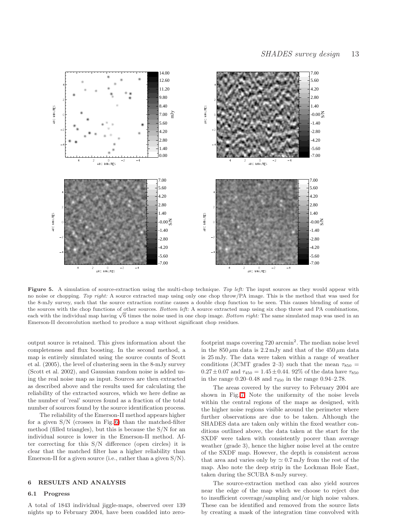

<span id="page-12-1"></span>Figure 5. A simulation of source-extraction using the multi-chop technique. Top left: The input sources as they would appear with no noise or chopping. Top right: A source extracted map using only one chop throw/PA image. This is the method that was used for the 8-mJy survey, such that the source extraction routine causes a double chop function to be seen. This causes blending of some of the sources with the chop functions of other sources. Bottom left: A source extracted map using six chop throw and PA combinations, each with the individual map having  $\sqrt{6}$  times the noise used in one chop image. Bottom right: The same simulated map was used in an Emerson-II deconvolution method to produce a map without significant chop residues.

output source is retained. This gives information about the completeness and flux boosting. In the second method, a map is entirely simulated using the source counts of Scott et al. (2005), the level of clustering seen in the 8-mJy survey (Scott et al. 2002), and Gaussian random noise is added using the real noise map as input. Sources are then extracted as described above and the results used for calculating the reliability of the extracted sources, which we here define as the number of 'real' sources found as a fraction of the total number of sources found by the source identification process.

The reliability of the Emerson-II method appears higher for a given S/N (crosses in Fig. [6\)](#page-13-0) than the matched-filter method (filled triangles), but this is because the S/N for an individual source is lower in the Emerson-II method. After correcting for this S/N difference (open circles) it is clear that the matched filter has a higher reliability than Emerson-II for a given source (i.e., rather than a given  $S/N$ ).

## <span id="page-12-0"></span>6 RESULTS AND ANALYSIS

#### 6.1 Progress

A total of 1843 individual jiggle-maps, observed over 139 nights up to February 2004, have been coadded into zero-

footprint maps covering  $720 \text{ arcmin}^2$ . The median noise level in the  $850 \mu m$  data is  $2.2 \text{ mJy}$  and that of the  $450 \mu m$  data is 25 mJy. The data were taken within a range of weather conditions (JCMT grades 2–3) such that the mean  $\tau_{850}$  =  $0.27 \pm 0.07$  and  $\tau_{450} = 1.45 \pm 0.44$ . 92% of the data have  $\tau_{850}$ in the range 0.20–0.48 and  $\tau_{450}$  in the range 0.94–2.78.

The areas covered by the survey to February 2004 are shown in Fig. [7.](#page-14-1) Note the uniformity of the noise levels within the central regions of the maps as designed, with the higher noise regions visible around the perimeter where further observations are due to be taken. Although the SHADES data are taken only within the fixed weather conditions outlined above, the data taken at the start for the SXDF were taken with consistently poorer than average weather (grade 3), hence the higher noise level at the centre of the SXDF map. However, the depth is consistent across that area and varies only by  $\simeq 0.7\,\mathrm{mJy}$  from the rest of the map. Also note the deep strip in the Lockman Hole East, taken during the SCUBA 8-mJy survey.

The source-extraction method can also yield sources near the edge of the map which we choose to reject due to insufficient coverage/sampling and/or high noise values. These can be identified and removed from the source lists by creating a mask of the integration time convolved with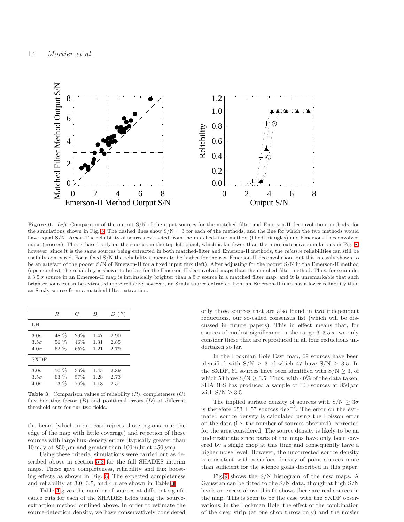

<span id="page-13-0"></span>Figure 6. Left: Comparison of the output S/N of the input sources for the matched filter and Emerson-II deconvolution methods, for the simulations shown in Fig. [5.](#page-12-1) The dashed lines show  $S/N = 3$  for each of the methods, and the line for which the two methods would have equal S/N. Right: The reliability of sources extracted from the matched-filter method (filled triangles) and Emerson-II deconvolved maps (crosses). This is based only on the sources in the top-left panel, which is far fewer than the more extensive simulations in Fig. [8;](#page-15-0) however, since it is the same sources being extracted in both matched-filter and Emerson-II methods, the relative reliabilities can still be usefully compared. For a fixed S/N the reliability appears to be higher for the raw Emerson-II deconvolution, but this is easily shown to be an artefact of the poorer S/N of Emerson-II for a fixed input flux (left). After adjusting for the poorer S/N in the Emerson-II method (open circles), the reliability is shown to be less for the Emerson-II deconvolved maps than the matched-filter method. Thus, for example, a 3.5  $\sigma$  source in an Emerson-II map is intrinsically brighter than a 5  $\sigma$  source in a matched filter map, and it is unremarkable that such brighter sources can be extracted more reliably; however, an 8 mJy source extracted from an Emerson-II map has a lower reliability than an 8 mJy source from a matched-filter extraction.

|                                           | R.                      | C                    | B                    | D('')                |
|-------------------------------------------|-------------------------|----------------------|----------------------|----------------------|
| LH                                        |                         |                      |                      |                      |
| $3.0\sigma$<br>$3.5\sigma$<br>$4.0\sigma$ | 48 %<br>56 %<br>$62 \%$ | 29%<br>46%<br>65%    | 1.47<br>1.31<br>1.21 | 2.90<br>2.85<br>2.79 |
| SXDF                                      |                         |                      |                      |                      |
| $3.0\sigma$<br>$3.5\sigma$<br>$4.0\sigma$ | $50\%$<br>63 %<br>73 %  | $36\%$<br>57%<br>76% | 1.45<br>1.28<br>1.18 | 2.89<br>2.73<br>2.57 |

<span id="page-13-1"></span>**Table 3.** Comparison values of reliability  $(R)$ , completeness  $(C)$ flux boosting factor  $(B)$  and positional errors  $(D)$  at different threshold cuts for our two fields.

the beam (which in our case rejects those regions near the edge of the map with little coverage) and rejection of those sources with large flux-density errors (typically greater than 10 mJy at  $850 \mu m$  and greater than 100 mJy at  $450 \mu m$ ).

Using these criteria, simulations were carried out as described above in section [5.3](#page-11-2) for the full SHADES interim maps. These gave completeness, reliability and flux boosting effects as shown in Fig. [8.](#page-15-0) The expected completeness and reliability at [3.](#page-13-1)0, 3.5, and  $4\sigma$  are shown in Table 3.

Table [4](#page-14-2) gives the number of sources at different significance cuts for each of the SHADES fields using the sourceextraction method outlined above. In order to estimate the source-detection density, we have conservatively considered only those sources that are also found in two independent reductions, our so-called consensus list (which will be discussed in future papers). This in effect means that, for sources of modest significance in the range  $3-3.5\sigma$ , we only consider those that are reproduced in all four reductions undertaken so far.

In the Lockman Hole East map, 69 sources have been identified with  $S/N \geq 3$  of which 47 have  $S/N \geq 3.5$ . In the SXDF, 61 sources have been identified with  $S/N \geq 3$ , of which 53 have  $S/N > 3.5$ . Thus, with 40% of the data taken, SHADES has produced a sample of 100 sources at  $850 \,\mu m$ with  $S/N > 3.5$ .

The implied surface density of sources with  $S/N \geq 3\sigma$ is therefore  $653 \pm 57$  sources deg<sup>-2</sup>. The error on the estimated source density is calculated using the Poisson error on the data (i.e. the number of sources observed), corrected for the area considered. The source density is likely to be an underestimate since parts of the maps have only been covered by a single chop at this time and consequently have a higher noise level. However, the uncorrected source density is consistent with a surface density of point sources more than sufficient for the science goals described in this paper.

Fig. [9](#page-16-0) shows the S/N histogram of the new maps. A Gaussian can be fitted to the S/N data, though at high S/N levels an excess above this fit shows there are real sources in the map. This is seen to be the case with the SXDF observations; in the Lockman Hole, the effect of the combination of the deep strip (at one chop throw only) and the noisier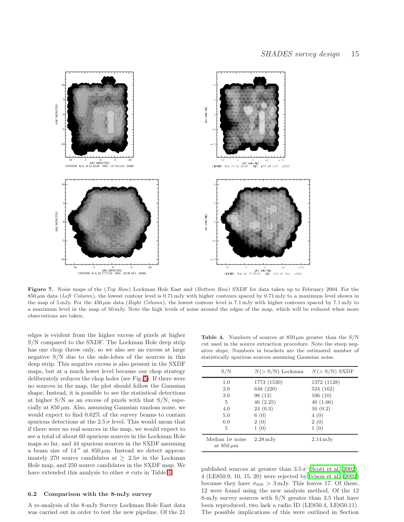

<span id="page-14-1"></span>Figure 7. Noise maps of the (Top Row) Lockman Hole East and (Bottom Row) SXDF for data taken up to February 2004. For the 850  $\mu$ m data (Left Column), the lowest contour level is 0.71 mJy with higher contours spaced by 0.71 mJy to a maximum level shown in the map of 5 mJy. For the 450  $\mu$ m data (Right Column), the lowest contour level is 7.1 mJy with higher contours spaced by 7.1 mJy to a maximum level in the map of 50 mJy. Note the high levels of noise around the edges of the map, which will be reduced when more observations are taken.

edges is evident from the higher excess of pixels at higher S/N compared to the SXDF. The Lockman Hole deep strip has one chop throw only, so we also see an excess at large negative S/N due to the side-lobes of the sources in this deep strip. This negative excess is also present in the SXDF maps, but at a much lower level because our chop strategy deliberately reduces the chop holes (see Fig. [5\)](#page-12-1). If there were no sources in the map, the plot should follow the Gaussian shape. Instead, it is possible to see the statistical detections at higher S/N as an excess of pixels with that S/N, especially at  $850 \mu m$ . Also, assuming Gaussian random noise, we would expect to find 0.62% of the survey beams to contain spurious detections at the  $2.5 \sigma$  level. This would mean that if there were no real sources in the map, we would expect to see a total of about 60 spurious sources in the Lockman Hole maps so far, and 44 spurious sources in the SXDF assuming a beam size of 14" at  $850 \,\mu \text{m}$ . Instead we detect approximately 270 source candidates at  $\geq 2.5\sigma$  in the Lockman Hole map, and 250 source candidates in the SXDF map. We have extended this analysis to other  $\sigma$  cuts in Table [4.](#page-14-2)

#### <span id="page-14-0"></span>6.2 Comparison with the 8-mJy survey

A re-analysis of the 8-mJy Survey Lockman Hole East data was carried out in order to test the new pipeline. Of the 21

<span id="page-14-2"></span>Table 4. Numbers of sources at  $850 \,\mu m$  greater than the S/N cut used in the source extraction procedure. Note the steep negative slope. Numbers in brackets are the estimated number of statistically spurious sources assuming Gaussian noise.

| $\mathrm{S/N}$                             | $N(> S/N)$ Lockman    | $N(> S/N)$ SXDF       |
|--------------------------------------------|-----------------------|-----------------------|
| 1.0                                        | 1773 (1530)           | 1372 (1128)           |
| 2.0                                        | 648 (220)             | 524 (162)             |
| 3.0                                        | 98(13)                | 106(10)               |
| 5                                          | 46(2.25)              | 40(1.66)              |
| 4.0                                        | 24(0.3)               | 16(0.2)               |
| 5.0                                        | 6(0)                  | 4(0)                  |
| 6.0                                        | 2(0)                  | 2(0)                  |
| 5                                          | 1(0)                  | 1(0)                  |
| Median $1\sigma$ noise<br>at $850 \,\mu m$ | $2.28 \,\mathrm{mJy}$ | $2.14 \,\mathrm{mJy}$ |

published sources at greater than  $3.5\,\sigma$  [\(Scott et al. 2002](#page-19-10)), 4 (LE850.9, 10, 15, 20) were rejected by [Ivison et al. \(2002](#page-19-21)) because they have  $\sigma_{850} > 3 \,\text{mJy}$ . This leaves 17. Of these, 12 were found using the new analysis method. Of the 12 8-mJy survey sources with S/N greater than 3.5 that have been reproduced, two lack a radio ID (LE850.4, LE850.11). The possible implications of this were outlined in Section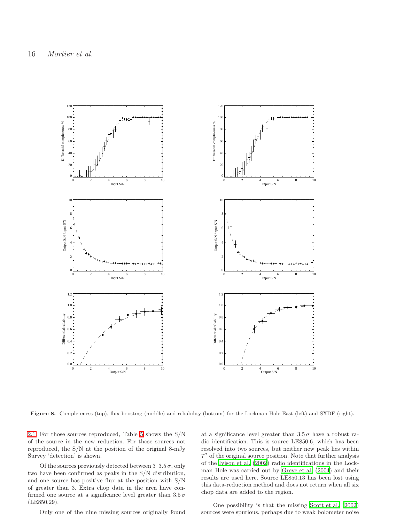

<span id="page-15-0"></span>Figure 8. Completeness (top), flux boosting (middle) and reliability (bottom) for the Lockman Hole East (left) and SXDF (right).

[2.1.](#page-3-1) For those sources reproduced, Table [5](#page-17-1) shows the S/N of the source in the new reduction. For those sources not reproduced, the S/N at the position of the original 8-mJy Survey 'detection' is shown.

Of the sources previously detected between  $3-3.5\,\sigma$ , only two have been confirmed as peaks in the S/N distribution, and one source has positive flux at the position with S/N of greater than 3. Extra chop data in the area have confirmed one source at a significance level greater than  $3.5\,\sigma$ (LE850.29).

Only one of the nine missing sources originally found

at a significance level greater than  $3.5\,\sigma$  have a robust radio identification. This is source LE850.6, which has been resolved into two sources, but neither new peak lies within 7 ′′ of the original source position. Note that further analysis of the [Ivison et al. \(2002\)](#page-19-21) radio identifications in the Lockman Hole was carried out by [Greve et al. \(2004\)](#page-18-14) and their results are used here. Source LE850.13 has been lost using this data-reduction method and does not return when all six chop data are added to the region.

One possibility is that the missing [Scott et al. \(2002](#page-19-10)) sources were spurious, perhaps due to weak bolometer noise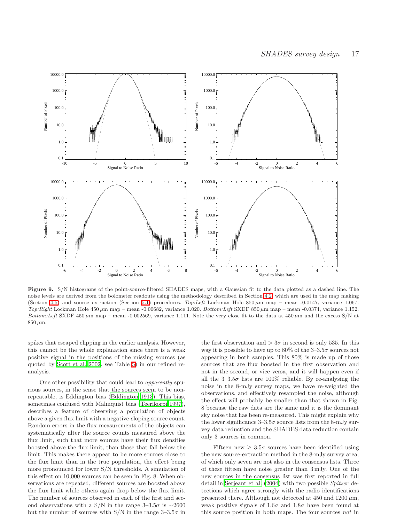

<span id="page-16-0"></span>Figure 9. S/N histograms of the point-source-filtered SHADES maps, with a Gaussian fit to the data plotted as a dashed line. The noise levels are derived from the bolometer readouts using the methodology described in Section [4.2,](#page-8-1) which are used in the map making (Section [4.5\)](#page-10-2) and source extraction (Section [5.1\)](#page-10-1) procedures. Top:Left Lockman Hole 850  $\mu$ m map – mean -0.0147, variance 1.067. Top:Right Lockman Hole  $450 \mu m$  map – mean -0.00682, variance 1.020. Bottom:Left SXDF 850  $\mu$ m map – mean -0.0374, variance 1.152. Bottom:Left SXDF 450  $\mu$ m map – mean -0.002569, variance 1.111. Note the very close fit to the data at 450  $\mu$ m and the excess S/N at  $850 \,\mu m.$ 

spikes that escaped clipping in the earlier analysis. However, this cannot be the whole explanation since there is a weak positive signal in the positions of the missing sources (as quoted by [Scott et al. 2002,](#page-19-10) see Table [5\)](#page-17-1) in our refined reanalysis.

One other possibility that could lead to apparently spurious sources, in the sense that the sources seem to be nonrepeatable, is Eddington bias [\(Eddington 1913\)](#page-18-35). This bias, sometimes confused with Malmquist bias [\(Teerikorpi 1997](#page-19-56)), describes a feature of observing a population of objects above a given flux limit with a negative-sloping source count. Random errors in the flux measurements of the objects can systematically alter the source counts measured above the flux limit, such that more sources have their flux densities boosted above the flux limit, than those that fall below the limit. This makes there appear to be more sources close to the flux limit than in the true population, the effect being more pronounced for lower S/N thresholds. A simulation of this effect on 10,000 sources can be seen in Fig. 8. When observations are repeated, different sources are boosted above the flux limit while others again drop below the flux limit. The number of sources observed in each of the first and second observations with a S/N in the range 3–3.5 $\sigma$  is ~2600 but the number of sources with  $S/N$  in the range  $3-3.5\sigma$  in

the first observation and  $> 3\sigma$  in second is only 535. In this way it is possible to have up to  $80\%$  of the  $3-3.5\sigma$  sources not appearing in both samples. This 80% is made up of those sources that are flux boosted in the first observation and not in the second, or vice versa, and it will happen even if all the  $3-3.5\sigma$  lists are  $100\%$  reliable. By re-analysing the noise in the 8-mJy survey maps, we have re-weighted the observations, and effectively resampled the noise, although the effect will probably be smaller than that shown in Fig. 8 because the raw data are the same and it is the dominant sky noise that has been re-measured. This might explain why the lower significance  $3-3.5\sigma$  source lists from the 8-mJy survey data reduction and the SHADES data reduction contain only 3 sources in common.

Fifteen new  $\geq 3.5\sigma$  sources have been identified using the new source-extraction method in the 8-mJy survey area, of which only seven are not also in the consensus lists. Three of these fifteen have noise greater than 3 mJy. One of the new sources in the consensus list was first reported in full detail in [Serjeant et al. \(2004](#page-19-28)) with two possible Spitzer detections which agree strongly with the radio identifications presented there. Although not detected at  $450$  and  $1200 \mu m$ , weak positive signals of  $1.6\sigma$  and  $1.8\sigma$  have been found at this source position in both maps. The four sources not in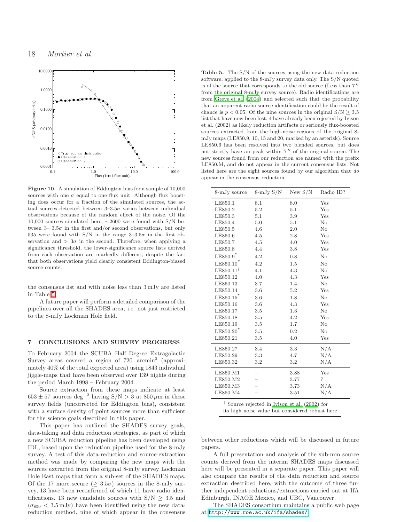

Figure 10. A simulation of Eddington bias for a sample of 10,000 sources with one  $\sigma$  equal to one flux unit. Although flux boosting does occur for a fraction of the simulated sources, the actual sources detected between  $3-3.5\sigma$  varies between individual observations because of the random effect of the noise. Of the 10,000 sources simulated here, ∼2600 were found with S/N between  $3-3.5\sigma$  in the first and/or second observations, but only 535 were found with S/N in the range  $3-3.5\sigma$  in the first observation and  $> 3\sigma$  in the second. Therefore, when applying a significance threshold, the lower-significance source lists derived from each observation are markedly different, despite the fact that both observations yield clearly consistent Eddington-biased source counts.

the consensus list and with noise less than 3 mJy are listed in Table [5.](#page-17-1)

A future paper will perform a detailed comparison of the pipelines over all the SHADES area, i.e. not just restricted to the 8-mJy Lockman Hole field.

#### <span id="page-17-0"></span>7 CONCLUSIONS AND SURVEY PROGRESS

To February 2004 the SCUBA Half Degree Extragalactic Survey areas covered a region of 720 arcmin<sup>2</sup> (approximately 40% of the total expected area) using 1843 individual jiggle-maps that have been observed over 139 nights during the period March 1998 – February 2004.

Source extraction from these maps indicate at least  $653\pm57$  sources deg<sup>-2</sup> having S/N > 3 at  $850\,\mu\mathrm{m}$  in these survey fields (uncorrected for Eddington bias), consistent with a surface density of point sources more than sufficient for the science goals described in this paper.

This paper has outlined the SHADES survey goals, data-taking and data reduction strategies, as part of which a new SCUBA reduction pipeline has been developed using IDL, based upon the reduction pipeline used for the 8-mJy survey. A test of this data-reduction and source-extraction method was made by comparing the new maps with the sources extracted from the original 8-mJy survey Lockman Hole East maps that form a sub-set of the SHADES maps. Of the 17 more secure ( $\geq 3.5\sigma$ ) sources in the 8-mJy survey, 13 have been reconfirmed of which 11 have radio identifications. 13 new candidate sources with  $S/N > 3.5$  and  $(\sigma_{850} < 3.5 \,\mathrm{mJy})$  have been identified using the new datareduction method, nine of which appear in the consensus

<span id="page-17-1"></span>Table 5. The S/N of the sources using the new data reduction software, applied to the 8-mJy survey data only. The S/N quoted is of the source that corresponds to the old source (Less than  $7''$ from the original 8-mJy survey source). Radio identifications are from [Greve et al. \(2004](#page-18-14)) and selected such that the probability that an apparent radio source identification could be the result of chance is  $p < 0.05$ . Of the nine sources in the original  $S/N \geq 3.5$ list that have now been lost, 4 have already been rejected by Ivison et al. (2002) as likely reduction artifacts or seriously flux-boosted sources extracted from the high-noise regions of the original 8 mJy maps (LE850.9, 10, 15 and 20, marked by an asterisk). Source LE850.6 has been resolved into two blended sources, but does not strictly have an peak within  $7''$  of the original source. The new sources found from our reduction are named with the prefix LE850.M, and do not appear in the current consensus lists. Not listed here are the eight sources found by our algorithm that do appear in the consensus reduction.

| 8-mJy source           | $8 - mJy S/N$ | New $S/N$ | Radio ID? |
|------------------------|---------------|-----------|-----------|
| LE850.1                | 8.1           | 8.0       | Yes       |
| LE850.2                | 5.2           | 5.1       | Yes       |
| LE850.3                | 5.1           | 3.9       | Yes       |
| LE850.4                | 5.0           | 5.1       | No        |
| LE850.5                | 4.6           | 2.0       | $\rm No$  |
| LE850.6                | 4.5           | 2.8       | Yes       |
| LE850.7                | 4.5           | 4.0       | Yes       |
| LE850.8                | 4.4           | 3.8       | Yes       |
| $LE850.9$ <sup>*</sup> | 4.2           | 0.8       | No        |
| LE850.10               | 4.2           | 1.5       | $\rm No$  |
| $LE850.11^{\dagger}$   | 4.1           | 4.3       | $\rm No$  |
| LE850.12               | 4.0           | 4.3       | Yes       |
| LE850.13               | 3.7           | 1.4       | $\rm No$  |
| LE850.14               | 3.6           | 5.2       | Yes       |
| LE850.15               | 3.6           | 1.8       | $\rm No$  |
| LE850.16               | 3.6           | 4.3       | Yes       |
| LE850.17               | 3.5           | 1.3       | $\rm No$  |
| LE850.18               | $3.5\,$       | 4.2       | Yes       |
| LE850.19               | $3.5\,$       | 1.7       | No        |
| LE850.20               | 3.5           | 0.2       | $\rm No$  |
| LE850.21               | 3.5           | 4.0       | Yes       |
| LE850.27               | 3.4           | 3.3       | N/A       |
| LE850.29               | 3.3           | 4.7       | N/A       |
| LE850.32               | 3.2           | 3.2       | N/A       |
| LE850.M1               |               | 3.88      | Yes       |
| LE850.M2               |               | 3.77      | ?         |
| LE850.M3               |               | 3.73      | N/A       |
| LE850.M4               |               | 3.51      | N/A       |

† Source rejected in [Ivison et al. \(2002\)](#page-19-21) for its high noise value but considered robust here

between other reductions which will be discussed in future papers.

A full presentation and analysis of the sub-mm source counts derived from the interim SHADES maps discussed here will be presented in a separate paper. This paper will also compare the results of the data reduction and source extraction described here, with the outcome of three further independent reductions/extractions carried out at IfA Edinburgh, INAOE Mexico, and UBC, Vancouver.

The SHADES consortium maintains a public web page at <http://www.roe.ac.uk/ifa/shades/>.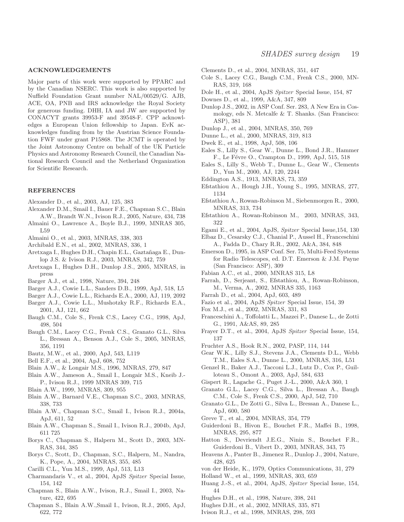#### ACKNOWLEDGEMENTS

Major parts of this work were supported by PPARC and by the Canadian NSERC. This work is also supported by Nuffield Foundation Grant number NAL/00529/G. AJB, ACE, OA, PNB and IRS acknowledge the Royal Society for generous funding. DHH, IA and JW are supported by CONACYT grants 39953-F and 39548-F. CPP acknowledges a European Union fellowship to Japan. EvK acknowledges funding from by the Austrian Science Foundation FWF under grant P15868. The JCMT is operated by the Joint Astronomy Centre on behalf of the UK Particle Physics and Astronomy Research Council, the Canadian National Research Council and the Netherland Organization for Scientific Research.

#### REFERENCES

- <span id="page-18-57"></span>Alexander D., et al., 2003, AJ, 125, 383
- <span id="page-18-58"></span>Alexander D.M., Smail I., Bauer F.E., Chapman S.C., Blain A.W., Brandt W.N., Ivison R.J., 2005, Nature, 434, 738
- <span id="page-18-51"></span>Almaini O., Lawrence A., Boyle B.J., 1999, MNRAS 305, L59
- <span id="page-18-13"></span>Almaini O., et al., 2003, MNRAS, 338, 303
- <span id="page-18-63"></span>Archibald E.N., et al., 2002, MNRAS, 336, 1
- <span id="page-18-46"></span>Aretxaga I., Hughes D.H., Chapin E.L., Gaztañaga E., Dunlop J.S. & Ivison R.J., 2003, MNRAS, 342, 759
- <span id="page-18-47"></span>Aretxaga I., Hughes D.H., Dunlop J.S., 2005, MNRAS, in press
- <span id="page-18-9"></span>Barger A.J., et al., 1998, Nature, 394, 248
- <span id="page-18-11"></span>Barger A.J., Cowie L.L., Sanders D.B., 1999, ApJ, 518, L5
- <span id="page-18-23"></span>Barger A.J., Cowie L.L., Richards E.A., 2000, AJ, 119, 2092
- <span id="page-18-56"></span>Barger A.J., Cowie L.L., Mushotzky R.F., Richards E.A., 2001, AJ, 121, 662
- <span id="page-18-17"></span>Baugh C.M., Cole S., Frenk C.S., Lacey C.G., 1998, ApJ, 498, 504
- <span id="page-18-19"></span>Baugh C.M., Lacey C.G., Frenk C.S., Granato G.L., Silva L., Bressan A., Benson A.J., Cole S., 2005, MNRAS, 356, 1191
- <span id="page-18-54"></span>Bautz, M.W., et al., 2000, ApJ, 543, L119
- <span id="page-18-18"></span>Bell E.F., et al., 2004, ApJ, 608, 752
- <span id="page-18-41"></span>Blain A.W., & Longair M.S., 1996, MNRAS, 279, 847
- <span id="page-18-7"></span>Blain A.W., Jameson A., Smail I., Longair M.S., Kneib J.- P., Ivison R.J., 1999 MNRAS 309, 715
- <span id="page-18-44"></span>Blain A.W., 1999, MNRAS, 309, 955
- <span id="page-18-45"></span>Blain A.W., Barnard V.E., Chapman S.C., 2003, MNRAS, 338, 733
- <span id="page-18-48"></span>Blain A.W., Chapman S.C., Smail I., Ivison R.J., 2004a, ApJ, 611, 52
- <span id="page-18-15"></span>Blain A.W., Chapman S., Smail I., Ivison R.J., 2004b, ApJ, 611 725
- <span id="page-18-10"></span>Borys C., Chapman S., Halpern M., Scott D., 2003, MN-RAS, 344, 385
- <span id="page-18-26"></span>Borys C., Scott, D., Chapman, S.C., Halpern, M., Nandra, K., Pope, A., 2004, MNRAS, 355, 485
- <span id="page-18-42"></span>Carilli C.L., Yun M.S., 1999, ApJ, 513, L13
- <span id="page-18-34"></span>Charmandaris V., et al., 2004, ApJS Spitzer Special Issue, 154, 142
- <span id="page-18-30"></span>Chapman S., Blain A.W., Ivison, R.J., Smail I., 2003, Nature, 422, 695
- <span id="page-18-31"></span>Chapman S., Blain A.W.,Smail I., Ivison, R.J., 2005, ApJ, 622, 772
- <span id="page-18-24"></span>Clements D., et al., 2004, MNRAS, 351, 447
- <span id="page-18-0"></span>Cole S., Lacey C.G., Baugh C.M., Frenk C.S., 2000, MN-RAS, 319, 168
- <span id="page-18-38"></span>Dole H., et al., 2004, ApJS Spitzer Special Issue, 154, 87
- <span id="page-18-27"></span>Downes D., et al., 1999, A&A, 347, 809
- <span id="page-18-12"></span>Dunlop J.S., 2002, in ASP Conf. Ser. 283, A New Era in Cosmology, eds N. Metcalfe & T. Shanks. (San Francisco: ASP), 381
- <span id="page-18-25"></span>Dunlop J., et al., 2004, MNRAS, 350, 769
- <span id="page-18-43"></span>Dunne L., et al., 2000, MNRAS, 319, 813
- <span id="page-18-4"></span>Dwek E., et al., 1998, ApJ, 508, 106
- <span id="page-18-50"></span>Eales S., Lilly S., Gear W., Dunne L., Bond J.R., Hammer F., Le Févre O., Crampton D., 1999, ApJ, 515, 518
- <span id="page-18-66"></span>Eales S., Lilly S., Webb T., Dunne L., Gear W., Clements D., Yun M., 2000, AJ, 120, 2244
- <span id="page-18-35"></span>Eddington A.S., 1913, MNRAS, 73, 359
- <span id="page-18-60"></span>Efstathiou A., Hough J.H., Young S., 1995, MNRAS, 277, 1134
- <span id="page-18-52"></span>Efstathiou A., Rowan-Robinson M., Siebenmorgen R., 2000, MNRAS, 313, 734
- <span id="page-18-21"></span>Efstathiou A., Rowan-Robinson M., 2003, MNRAS, 343, 322
- <span id="page-18-32"></span>Egami E., et al., 2004, ApJS, Spitzer Special Issue,154, 130
- <span id="page-18-59"></span>Elbaz D., Cesarsky C.J., Chanial P., Aussel H., Franceschini A., Fadda D., Chary R.R., 2002, A&A, 384, 848
- <span id="page-18-62"></span>Emerson D., 1995, in ASP Conf. Ser. 75, Multi-Feed Systems for Radio Telescopes, ed. D.T. Emerson & J.M. Payne (San Francisco: ASP), 309
- <span id="page-18-55"></span>Fabian A.C., et al., 2000, MNRAS 315, L8
- <span id="page-18-53"></span>Farrah, D., Serjeant, S., Efstathiou, A., Rowan-Robinson, M., Verma, A., 2002, MNRAS 335, 1163
- <span id="page-18-22"></span>Farrah D., et al., 2004, ApJ, 603, 489
- <span id="page-18-37"></span>Fazio et al., 2004, ApJS Spitzer Special Issue, 154, 39
- <span id="page-18-49"></span>Fox M.J., et al., 2002, MNRAS, 331, 83
- <span id="page-18-40"></span>Franceschini A., Toffolatti L., Mazzei P., Danese L., de Zotti G., 1991, A&AS, 89, 285
- <span id="page-18-33"></span>Frayer D.T., et al., 2004, ApJS Spitzer Special Issue, 154, 137
- <span id="page-18-64"></span>Fruchter A.S., Hook R.N., 2002, PASP, 114, 144
- <span id="page-18-28"></span>Gear W.K., Lilly S.J., Stevens J.A., Clements D.L., Webb T.M., Eales S.A., Dunne L., 2000, MNRAS, 316, L51
- <span id="page-18-16"></span>Genzel R., Baker A.J., Tacconi L.J., Lutz D., Cox P., Guilloteau S., Omont A., 2003, ApJ, 584, 633
- <span id="page-18-5"></span>Gispert R., Lagache G., Puget J.-L., 2000, A&A 360, 1
- <span id="page-18-1"></span>Granato G.L., Lacey C.G., Silva L., Bressan A., Baugh C.M., Cole S., Frenk C.S., 2000, ApJ, 542, 710
- <span id="page-18-20"></span>Granato G.L., De Zotti G., Silva L., Bressan A., Danese L., ApJ, 600, 580
- <span id="page-18-14"></span>Greve T., et al., 2004, MNRAS, 354, 779
- <span id="page-18-6"></span>Guiderdoni B., Hivon E., Bouchet F.R., Maffei B., 1998, MNRAS, 295, 877
- <span id="page-18-2"></span>Hatton S., Devriendt J.E.G., Ninin S., Bouchet F.R., Guiderdoni B., Vibert D., 2003, MNRAS, 343, 75
- <span id="page-18-3"></span>Heavens A., Panter B., Jimenez R., Dunlop J., 2004, Nature, 428, 625
- <span id="page-18-65"></span>von der Heide, K., 1979, Optics Communications, 31, 279
- <span id="page-18-61"></span>Holland W., et al., 1999, MNRAS, 303, 659
- <span id="page-18-39"></span>Huang J.-S., et al., 2004, ApJS, Spitzer Special Issue, 154, 44
- <span id="page-18-8"></span>Hughes D.H., et al., 1998, Nature, 398, 241
- <span id="page-18-36"></span>Hughes D.H., et al., 2002, MNRAS, 335, 871
- <span id="page-18-29"></span>Ivison R.J., et al., 1998, MNRAS, 298, 593